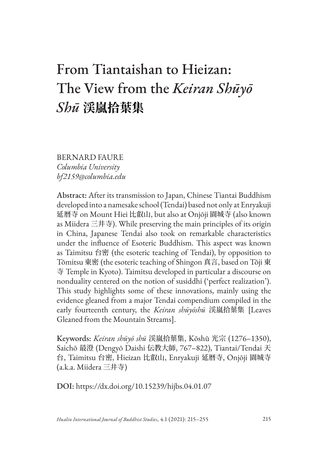# From Tiantaishan to Hieizan: The View from the *Keiran Shūyō Shū* **渓嵐拾葉集**

BERNARD FAURE *Columbia University bf2159@columbia.edu*

Abstract: After its transmission to Japan, Chinese Tiantai Buddhism developed into a namesake school (Tendai) based not only at Enryakuji 延暦寺 on Mount Hiei 比叡山, but also at Onjōji 園城寺 (also known as Miidera 三井寺). While preserving the main principles of its origin in China, Japanese Tendai also took on remarkable characteristics under the influence of Esoteric Buddhism. This aspect was known as Taimitsu 台密 (the esoteric teaching of Tendai), by opposition to Tōmitsu 東密 (the esoteric teaching of Shingon 真言, based on Tōji 東 寺 Temple in Kyoto). Taimitsu developed in particular a discourse on nonduality centered on the notion of susiddhi ('perfect realization'). This study highlights some of these innovations, mainly using the evidence gleaned from a major Tendai compendium compiled in the early fourteenth century, the *Keiran shūyōshū* 渓嵐拾葉集 [Leaves Gleaned from the Mountain Streams].

Keywords: *Keiran shūyō shū* 渓嵐拾葉集, Kōshū 光宗 (1276–1350), Saichō 最澄 (Dengyō Daishi 伝教大師, 767–822), Tiantai/Tendai 天 台, Taimitsu 台密, Hieizan 比叡山, Enryakuji 延暦寺, Onjōji 園城寺 (a.k.a. Miidera 三井寺)

DOI: https://dx.doi.org/10.15239/hijbs.04.01.07

*Hualin International Journal of Buddhist Studies*, 4.1 (2021): 215–255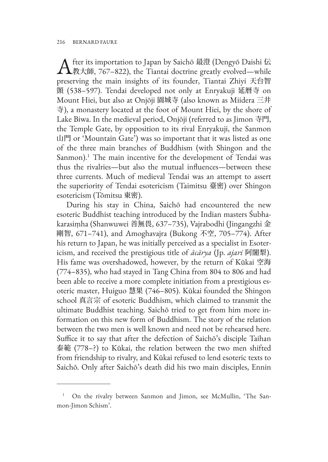**A** fter its importation to Japan by Saichō 最澄 (Dengyō Daishi 伝)<br>数大師, 767–822), the Tiantai doctrine greatly evolved—while preserving the main insights of its founder, Tiantai Zhiyi 天台智 顗 (538–597). Tendai developed not only at Enryakuji 延暦寺 on Mount Hiei, but also at Onjōji 園城寺 (also known as Miidera 三井 寺), a monastery located at the foot of Mount Hiei, by the shore of Lake Biwa. In the medieval period, Onjōji (referred to as Jimon 寺門, the Temple Gate, by opposition to its rival Enryakuji, the Sanmon 山門 or 'Mountain Gate') was so important that it was listed as one of the three main branches of Buddhism (with Shingon and the Sanmon).<sup>1</sup> The main incentive for the development of Tendai was thus the rivalries—but also the mutual influences—between these three currents. Much of medieval Tendai was an attempt to assert the superiority of Tendai esotericism (Taimitsu 臺密) over Shingon esotericism (Tōmitsu 東密).

During his stay in China, Saichō had encountered the new esoteric Buddhist teaching introduced by the Indian masters Śubhakarasiṃha (Shanwuwei 善無畏, 637–735), Vajrabodhi (Jingangzhi 金 剛智, 671–741), and Amoghavajra (Bukong 不空, 705–774). After his return to Japan, he was initially perceived as a specialist in Esotericism, and received the prestigious title of *ācārya* (Jp. *ajari* 阿闍梨). His fame was overshadowed, however, by the return of Kūkai 空海 (774–835), who had stayed in Tang China from 804 to 806 and had been able to receive a more complete initiation from a prestigious esoteric master, Huiguo 慧果 (746–805). Kūkai founded the Shingon school 真言宗 of esoteric Buddhism, which claimed to transmit the ultimate Buddhist teaching. Saichō tried to get from him more information on this new form of Buddhism. The story of the relation between the two men is well known and need not be rehearsed here. Suffice it to say that after the defection of Saichō's disciple Taihan 泰範 (778–?) to Kūkai, the relation between the two men shifted from friendship to rivalry, and Kūkai refused to lend esoteric texts to Saichō. Only after Saichō's death did his two main disciples, Ennin

<sup>1</sup> On the rivalry between Sanmon and Jimon, see McMullin, 'The Sanmon-Jimon Schism'.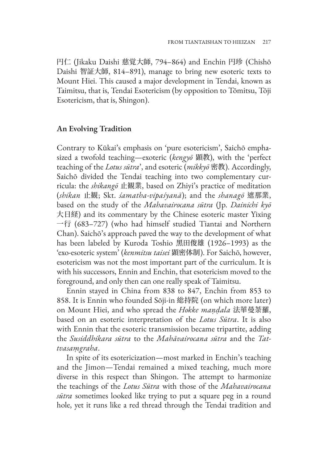円仁 (Jikaku Daishi 慈覚大師, 794–864) and Enchin 円珍 (Chishō Daishi 智証大師, 814–891), manage to bring new esoteric texts to Mount Hiei. This caused a major development in Tendai, known as Taimitsu, that is, Tendai Esotericism (by opposition to Tōmitsu, Tōji Esotericism, that is, Shingon).

## **An Evolving Tradition**

Contrary to Kūkai's emphasis on 'pure esotericism', Saichō emphasized a twofold teaching—exoteric (*kengyō* 顕教), with the 'perfect teaching of the *Lotus sūtra*', and esoteric (*mikkyō* 密教). Accordingly, Saichō divided the Tendai teaching into two complementary curricula: the *shikangō* 止観業, based on Zhiyi's practice of meditation (*shikan* 止観; Skt. *śamatha-vipaśyanā*); and the *shanagō* 遮那業, based on the study of the *Mahavairocana sūtra* (Jp. *Dainichi kyō* 大日経) and its commentary by the Chinese esoteric master Yixing 一行 (683–727) (who had himself studied Tiantai and Northern Chan). Saichō's approach paved the way to the development of what has been labeled by Kuroda Toshio 黑田俊雄 (1926–1993) as the 'exo-esoteric system' (*kenmitsu taisei* 顕密体制). For Saichō, however, esotericism was not the most important part of the curriculum. It is with his successors, Ennin and Enchin, that esotericism moved to the foreground, and only then can one really speak of Taimitsu.

Ennin stayed in China from 838 to 847, Enchin from 853 to 858. It is Ennin who founded Sōji-in 総持院 (on which more later) on Mount Hiei, and who spread the *Hokke maṇḍala* 法華曼荼羅, based on an esoteric interpretation of the *Lotus Sūtra*. It is also with Ennin that the esoteric transmission became tripartite, adding the *Susiddhikara sūtra* to the *Mahāvairocana sūtra* and the *Tattvasaṃgraha*.

In spite of its esotericization—most marked in Enchin's teaching and the Jimon—Tendai remained a mixed teaching, much more diverse in this respect than Shingon. The attempt to harmonize the teachings of the *Lotus Sūtra* with those of the *Mahavairocana sūtra* sometimes looked like trying to put a square peg in a round hole, yet it runs like a red thread through the Tendai tradition and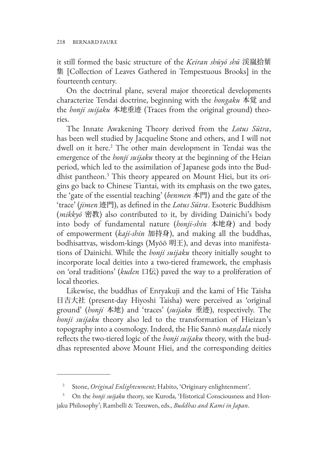it still formed the basic structure of the *Keiran shūyō shū* 渓嵐拾葉 集 [Collection of Leaves Gathered in Tempestuous Brooks] in the fourteenth century.

On the doctrinal plane, several major theoretical developments characterize Tendai doctrine, beginning with the *hongaku* 本覚 and the *honji suijaku* 本地垂迹 (Traces from the original ground) theories.

The Innate Awakening Theory derived from the *Lotus Sūtra*, has been well studied by Jacqueline Stone and others, and I will not dwell on it here.<sup>2</sup> The other main development in Tendai was the emergence of the *honji suijaku* theory at the beginning of the Heian period, which led to the assimilation of Japanese gods into the Buddhist pantheon.3 This theory appeared on Mount Hiei, but its origins go back to Chinese Tiantai, with its emphasis on the two gates, the 'gate of the essential teaching' (*benmen* 本門) and the gate of the 'trace' (*jimen* 迹門), as defined in the *Lotus Sūtra*. Esoteric Buddhism (*mikkyō* 密教) also contributed to it, by dividing Dainichi's body into body of fundamental nature (*honji-shin* 本地身) and body of empowerment (*kaji-shin* 加持身), and making all the buddhas, bodhisattvas, wisdom-kings (Myōō 明王), and devas into manifestations of Dainichi. While the *honji suijaku* theory initially sought to incorporate local deities into a two-tiered framework, the emphasis on 'oral traditions' (*kuden* 口伝) paved the way to a proliferation of local theories.

Likewise, the buddhas of Enryakuji and the kami of Hie Taisha 日吉大社 (present-day Hiyoshi Taisha) were perceived as 'original ground' (*honji* 本地) and 'traces' (*suijaku* 垂迹), respectively. The *honji suijaku* theory also led to the transformation of Hieizan's topography into a cosmology. Indeed, the Hie Sannō *maṇḍala* nicely reflects the two-tiered logic of the *honji suijaku* theory, with the buddhas represented above Mount Hiei, and the corresponding deities

<sup>2</sup> Stone, *Original Enlightenment*; Habito, 'Originary enlightenment'.

On the *honji suijaku* theory, see Kuroda, 'Historical Consciousness and Honjaku Philosophy'; Rambelli & Teeuwen, eds., *Buddhas and Kami in Japan*.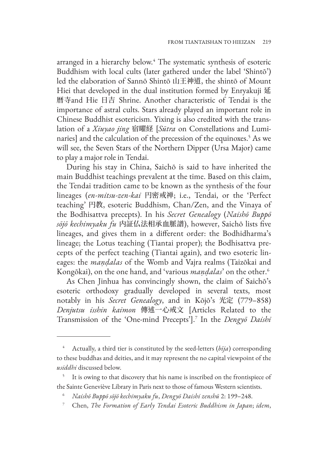arranged in a hierarchy below.<sup>4</sup> The systematic synthesis of esoteric Buddhism with local cults (later gathered under the label 'Shintō') led the elaboration of Sannō Shintō 山王神道, the shintō of Mount Hiei that developed in the dual institution formed by Enryakuji 延 暦寺and Hie 日吉 Shrine. Another characteristic of Tendai is the importance of astral cults. Stars already played an important role in Chinese Buddhist esotericism. Yixing is also credited with the translation of a *Xiuyao jing* 宿曜経 [*Sūtra* on Constellations and Luminaries] and the calculation of the precession of the equinoxes.5 As we will see, the Seven Stars of the Northern Dipper (Ursa Major) came to play a major role in Tendai.

During his stay in China, Saichō is said to have inherited the main Buddhist teachings prevalent at the time. Based on this claim, the Tendai tradition came to be known as the synthesis of the four lineages (*en-mitsu-zen-kai* 円密戒禅; i.e., Tendai, or the 'Perfect teaching' 円教, esoteric Buddhism, Chan/Zen, and the Vinaya of the Bodhisattva precepts). In his *Secret Genealogy* (*Naishō Buppō sōjō kechimyaku fu* 内証仏法相承血脈譜), however, Saichō lists five lineages, and gives them in a different order: the Bodhidharma's lineage; the Lotus teaching (Tiantai proper); the Bodhisattva precepts of the perfect teaching (Tiantai again), and two esoteric lineages: the *maṇḍalas* of the Womb and Vajra realms (Taizōkai and Kongōkai), on the one hand, and 'various *mandalas*' on the other.<sup>6</sup>

As Chen Jinhua has convincingly shown, the claim of Saichō's esoteric orthodoxy gradually developed in several texts, most notably in his *Secret Genealogy*, and in Kōjō's 光定 (779–858) *Denjutsu isshin kaimon* 傳述一心戒文 [Articles Related to the Transmission of the 'One-mind Precepts'].7 In the *Dengyō Daishi* 

<sup>7</sup> Chen, *The Formation of Early Tendai Esoteric Buddhism in Japan*; *idem*,

<sup>4</sup> Actually, a third tier is constituted by the seed-letters (*bīja*) corresponding to these buddhas and deities, and it may represent the no capital viewpoint of the *usiddhi* discussed below.

It is owing to that discovery that his name is inscribed on the frontispiece of the Sainte Geneviève Library in Paris next to those of famous Western scientists.

<sup>6</sup> *Naishō Buppō sōjō kechimyaku fu*, *Dengyō Daishi zenshū* 2: 199–248.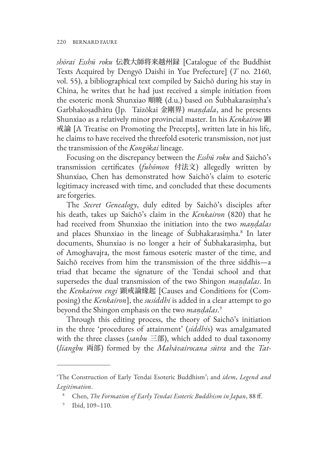*shōrai Esshū roku* 伝教大師将来越州録 [Catalogue of the Buddhist Texts Acquired by Dengyō Daishi in Yue Prefecture] (*T* no. 2160, vol. 55), a bibliographical text compiled by Saichō during his stay in China, he writes that he had just received a simple initiation from the esoteric monk Shunxiao 順暁 (d.u.) based on Śubhakarasiṃha's Garbhakoṣadhātu (Jp. Taizōkai 金剛界) *maṇḍala*, and he presents Shunxiao as a relatively minor provincial master. In his *Kenkairon* 顕 戒論 [A Treatise on Promoting the Precepts], written late in his life, he claims to have received the threefold esoteric transmission, not just the transmission of the *Kongōkai* lineage.

Focusing on the discrepancy between the *Esshū roku* and Saichō's transmission certificates (*fuhōmon* 付法文) allegedly written by Shunxiao, Chen has demonstrated how Saichō's claim to esoteric legitimacy increased with time, and concluded that these documents are forgeries.

The *Secret Genealogy*, duly edited by Saichō's disciples after his death, takes up Saichō's claim in the *Kenkairon* (820) that he had received from Shunxiao the initiation into the two *maṇḍalas* and places Shunxiao in the lineage of Śubhakarasiṃha.<sup>8</sup> In later documents, Shunxiao is no longer a heir of Śubhakarasiṃha, but of Amoghavajra, the most famous esoteric master of the time, and Saichō receives from him the transmission of the three siddhis—a triad that became the signature of the Tendai school and that supersedes the dual transmission of the two Shingon *maṇḍalas*. In the *Kenkairon engi* 顕戒論緣起 [Causes and Conditions for (Composing) the *Kenkairon*], the *susiddhi* is added in a clear attempt to go beyond the Shingon emphasis on the two *maṇḍalas*. 9

Through this editing process, the theory of Saichō's initiation in the three 'procedures of attainment' (*siddhi*s) was amalgamated with the three classes (*sanbu* 三部), which added to dual taxonomy (*liangbu* 両部) formed by the *Mahāvairocana sūtra* and the *Tat-*

<sup>&#</sup>x27;The Construction of Early Tendai Esoteric Buddhism'; and *idem*, *Legend and Legitimation*.

<sup>8</sup> Chen, *The Formation of Early Tendai Esoteric Buddhism in Japan*, 88 ff.

<sup>9</sup> Ibid, 109–110.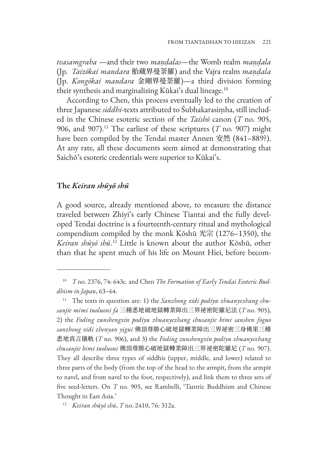*tvasamgraha* —and their two *maṇḍalas*—the Womb realm *maṇḍala* (Jp. *Taizōkai mandara* 胎蔵界曼荼羅) and the Vajra realm *maṇḍala* (Jp. *Kongōkai mandara* 金剛界曼荼羅)—a third division forming their synthesis and marginalizing Kūkai's dual lineage.<sup>10</sup>

According to Chen, this process eventually led to the creation of three Japanese *siddhi*-texts attributed to Śubhakarasiṃha, still included in the Chinese esoteric section of the *Taishō* canon (*T* no. 905, 906, and 907).11 The earliest of these scriptures (*T* no. 907) might have been compiled by the Tendai master Annen 安然 (841–889?). At any rate, all these documents seem aimed at demonstrating that Saichō's esoteric credentials were superior to Kūkai's.

#### **The** *Keiran shūyō shū*

A good source, already mentioned above, to measure the distance traveled between Zhiyi's early Chinese Tiantai and the fully developed Tendai doctrine is a fourteenth-century ritual and mythological compendium compiled by the monk Kōshū 光宗 (1276–1350), the *Keiran shūyō shū*. <sup>12</sup> Little is known about the author Kōshū, other than that he spent much of his life on Mount Hiei, before becom-

<sup>10</sup> *T* no. 2376, 74: 643c*.* and Chen *The Formation of Early Tendai Esoteric Buddhism in Japan*, 63–64.

<sup>11</sup> The texts in question are: 1) the *Sanzhong xidi podiyu zhuanyezhang chusanjie mimi tuoluoni fa* 三種悉地破地獄轉業障出三界祕密陀羅尼法 (*T* no. 905), 2) the *Foding zunshengxin podiyu zhuanyezhang chusanjie bimi sanshen foguo sanzhong xidi zhenyan yigui* 佛頂尊勝心破地獄轉業障出三界祕密三身佛果三種 悉地真言儀軌 (*T* no. 906), and 3) the *Foding zunshengxin podiyu zhuanyezhang chusanjie bimi tuoluoni* 佛頂尊勝心破地獄轉業障出三界祕密陀羅尼 (*T* no. 907). They all describe three types of siddhis (upper, middle, and lower) related to three parts of the body (from the top of the head to the armpit, from the armpit to navel, and from navel to the foot, respectively), and link them to three sets of five seed-letters. On *T* no. 905, see Rambelli, 'Tantric Buddhism and Chinese Thought in East Asia.'

<sup>12</sup> *Keiran shūyō shū*, *T* no. 2410, 76: 312a.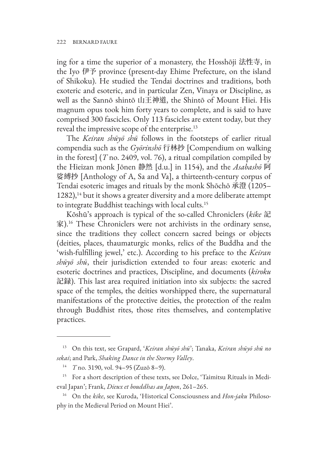ing for a time the superior of a monastery, the Hosshōji 法性寺, in the Iyo 伊予 province (present-day Ehime Prefecture, on the island of Shikoku). He studied the Tendai doctrines and traditions, both exoteric and esoteric, and in particular Zen, Vinaya or Discipline, as well as the Sannō shintō 山王神道, the Shintō of Mount Hiei. His magnum opus took him forty years to complete, and is said to have comprised 300 fascicles. Only 113 fascicles are extent today, but they reveal the impressive scope of the enterprise.<sup>13</sup>

The *Keiran shūyō shū* follows in the footsteps of earlier ritual compendia such as the *Gyōrinshō* 行林抄 [Compendium on walking in the forest] (*T* no. 2409, vol. 76), a ritual compilation compiled by the Hieizan monk Jōnen 静然 [d.u.] in 1154), and the *Asabashō* 阿 娑縛抄 [Anthology of A, Sa and Va], a thirteenth-century corpus of Tendai esoteric images and rituals by the monk Shōchō 承澄 (1205–  $1282$ ),<sup>14</sup> but it shows a greater diversity and a more deliberate attempt to integrate Buddhist teachings with local cults.15

Kōshū's approach is typical of the so-called Chroniclers (*kike* 記 家).16 These Chroniclers were not archivists in the ordinary sense, since the traditions they collect concern sacred beings or objects (deities, places, thaumaturgic monks, relics of the Buddha and the 'wish-fulfilling jewel,' etc.). According to his preface to the *Keiran shūyō shū*, their jurisdiction extended to four areas: exoteric and esoteric doctrines and practices, Discipline, and documents (*kiroku* 記録). This last area required initiation into six subjects: the sacred space of the temples, the deities worshipped there, the supernatural manifestations of the protective deities, the protection of the realm through Buddhist rites, those rites themselves, and contemplative practices.

<sup>13</sup> On this text, see Grapard, '*Keiran shūyō shū*'; Tanaka, *Keiran shūyō shū no sekai*; and Park, *Shaking Dance in the Stormy Valley*.

<sup>14</sup> *T* no. 3190, vol. 94–95 (Zuzō 8–9).

<sup>&</sup>lt;sup>15</sup> For a short description of these texts, see Dolce, 'Taimitsu Rituals in Medieval Japan'; Frank, *Dieux et bouddhas au Japon*, 261–265.

<sup>16</sup> On the *kike*, see Kuroda, 'Historical Consciousness and *Hon-jaku* Philosophy in the Medieval Period on Mount Hiei'.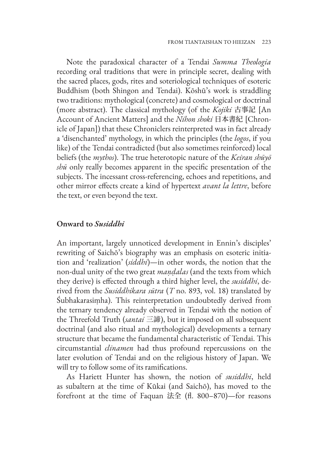Note the paradoxical character of a Tendai *Summa Theologia*  recording oral traditions that were in principle secret, dealing with the sacred places, gods, rites and soteriological techniques of esoteric Buddhism (both Shingon and Tendai). Kōshū's work is straddling two traditions: mythological (concrete) and cosmological or doctrinal (more abstract). The classical mythology (of the *Kojiki* 古事記 [An Account of Ancient Matters] and the *Nihon shoki* 日本書紀 [Chronicle of Japan]) that these Chroniclers reinterpreted was in fact already a 'disenchanted' mythology, in which the principles (the *logos*, if you like) of the Tendai contradicted (but also sometimes reinforced) local beliefs (the *mythos*). The true heterotopic nature of the *Keiran shūyō shū* only really becomes apparent in the specific presentation of the subjects. The incessant cross-referencing, echoes and repetitions, and other mirror effects create a kind of hypertext *avant la lettre*, before the text, or even beyond the text.

#### **Onward to** *Susiddhi*

An important, largely unnoticed development in Ennin's disciples' rewriting of Saichō's biography was an emphasis on esoteric initiation and 'realization' (*siddhi*)—in other words, the notion that the non-dual unity of the two great *maṇḍalas* (and the texts from which they derive) is effected through a third higher level, the *susiddhi*, derived from the *Susiddhikara sūtra* (*T* no. 893, vol. 18) translated by Śubhakarasiṃha). This reinterpretation undoubtedly derived from the ternary tendency already observed in Tendai with the notion of the Threefold Truth (*santai* 三諦), but it imposed on all subsequent doctrinal (and also ritual and mythological) developments a ternary structure that became the fundamental characteristic of Tendai. This circumstantial *clinamen* had thus profound repercussions on the later evolution of Tendai and on the religious history of Japan. We will try to follow some of its ramifications.

As Hariett Hunter has shown, the notion of *susiddhi*, held as subaltern at the time of Kūkai (and Saichō), has moved to the forefront at the time of Faquan 法全 (fl. 800–870)—for reasons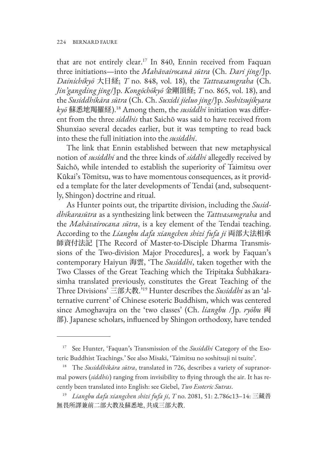that are not entirely clear.17 In 840, Ennin received from Faquan three initiations—into the *Mahāvairocanā sūtra* (Ch. *Dari jing*/Jp. *Dainichikyō* 大日経; *T* no. 848, vol. 18), the *Tattvasamgraha* (Ch. *Jin'gangding jing*/Jp. *Kongōchōkyō* 金剛頂経; *T* no. 865, vol. 18), and the *Susiddhikāra sūtra* (Ch. Ch. *Suxidi jieluo jing*/Jp. *Soshitsujikyara kyō* 蘇悉地羯羅経).18 Among them, the *susiddhi* initiation was different from the three *siddhis* that Saichō was said to have received from Shunxiao several decades earlier, but it was tempting to read back into these the full initiation into the *susiddhi*.

The link that Ennin established between that new metaphysical notion of *susiddhi* and the three kinds of *siddhi* allegedly received by Saichō, while intended to establish the superiority of Taimitsu over Kūkai's Tōmitsu, was to have momentous consequences, as it provided a template for the later developments of Tendai (and, subsequently, Shingon) doctrine and ritual.

As Hunter points out, the tripartite division, including the *Susiddhikarasūtra* as a synthesizing link between the *Tattvasamgraha* and the *Mahāvairocana sūtra*, is a key element of the Tendai teaching. According to the *Liangbu dafa xiangchen shizi fufa ji* 両部大法相承 師資付法記 [The Record of Master-to-Disciple Dharma Transmissions of the Two-division Major Procedures], a work by Faquan's contemporary Haiyun 海雲, 'The *Susiddhi*, taken together with the Two Classes of the Great Teaching which the Tripitaka Śubhākarasimha translated previously, constitutes the Great Teaching of the Three Divisions' 三部大教.'19 Hunter describes the *Susiddhi* as an 'alternative current' of Chinese esoteric Buddhism, which was centered since Amoghavajra on the 'two classes' (Ch. *liangbu* /Jp. *ryōbu* 両 部). Japanese scholars, influenced by Shingon orthodoxy, have tended

<sup>17</sup> See Hunter, 'Faquan's Transmission of the *Susiddhi* Category of the Esoteric Buddhist Teachings.' See also Misaki, 'Taimitsu no soshitsuji ni tsuite'.

<sup>18</sup> The *Susiddhikāra sūtra*, translated in 726, describes a variety of supranormal powers (*siddhis*) ranging from invisibility to flying through the air. It has recently been translated into English: see Giebel, *Two Esoteric Sutras*.

<sup>19</sup> *Liangbu dafa xiangchen shizi fufa ji*, *T* no. 2081, 51: 2.786c13–14: 三藏善 無畏所譯兼前二部大教及蘇悉地, 共成三部大教.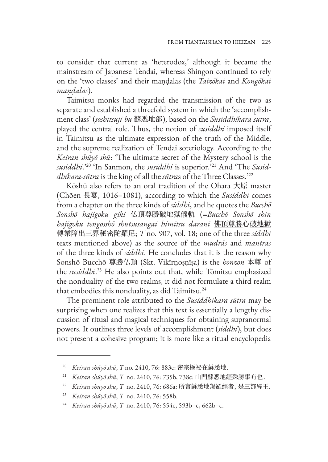to consider that current as 'heterodox,' although it became the mainstream of Japanese Tendai, whereas Shingon continued to rely on the 'two classes' and their maṇḍalas (the *Taizōkai* and *Kongōkai maṇḍalas*).

Taimitsu monks had regarded the transmission of the two as separate and established a threefold system in which the 'accomplishment class' (*soshitsuji bu* 蘇悉地部), based on the *Susiddhikara sūtra*, played the central role. Thus, the notion of *susiddhi* imposed itself in Taimitsu as the ultimate expression of the truth of the Middle, and the supreme realization of Tendai soteriology. According to the *Keiran shūyō shū*: 'The ultimate secret of the Mystery school is the *susiddhi*.'20 'In Sanmon, the *susiddhi* is superior.'21 And 'The *Susiddhikara-sūtra* is the king of all the *sūtra*s of the Three Classes.'22

Kōshū also refers to an oral tradition of the Ōhara 大原 master (Chōen 長宴, 1016–1081), according to which the *Susiddhi* comes from a chapter on the three kinds of *siddhi*, and he quotes the *Bucchō Sonshō hajigoku giki* 仏頂尊勝破地獄儀軌 (=*Bucchō Sonshō shin hajigoku tengosshō shutsusangai himitsu darani* 佛頂尊勝心破地獄 轉業障出三界秘密陀羅尼; *T* no. 907, vol. 18; one of the three *siddhi* texts mentioned above) as the source of the *mudrās* and *mantras* of the three kinds of *siddhi*. He concludes that it is the reason why Sonshō Bucchō 尊勝仏頂 (Skt. Vikīrṇoṣṇīṣa) is the *honzon* 本尊 of the *susiddhi*. <sup>23</sup> He also points out that, while Tōmitsu emphasized the nonduality of the two realms, it did not formulate a third realm that embodies this nonduality, as did Taimitsu.<sup>24</sup>

The prominent role attributed to the *Susiddhikara sūtra* may be surprising when one realizes that this text is essentially a lengthy discussion of ritual and magical techniques for obtaining supranormal powers. It outlines three levels of accomplishment (*siddhi*), but does not present a cohesive program; it is more like a ritual encyclopedia

<sup>20</sup> *Keiran shūyō shū*, *T* no. 2410, 76: 883c: 密宗極祕在蘇悉地.

<sup>21</sup> *Keiran shūyō shū*, *T* no. 2410, 76: 735b, 738c: 山門蘇悉地經殊勝事有也.

<sup>22</sup> *Keiran shūyō shū*, *T* no. 2410, 76: 686a: 所言蘇悉地羯羅經者, 是三部經王.

<sup>23</sup> *Keiran shūyō shū*, *T* no. 2410, 76: 558b.

<sup>24</sup> *Keiran shūyō shū*, *T* no. 2410, 76: 554c, 593b–c, 662b–c.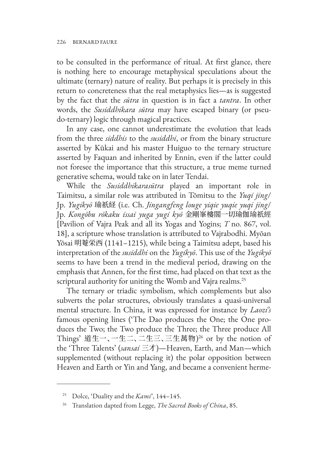to be consulted in the performance of ritual. At first glance, there is nothing here to encourage metaphysical speculations about the ultimate (ternary) nature of reality. But perhaps it is precisely in this return to concreteness that the real metaphysics lies—as is suggested by the fact that the *sūtra* in question is in fact a *tantra*. In other words, the *Susiddhikara sūtra* may have escaped binary (or pseudo-ternary) logic through magical practices.

In any case, one cannot underestimate the evolution that leads from the three *siddhis* to the *susiddhi*, or from the binary structure asserted by Kūkai and his master Huiguo to the ternary structure asserted by Faquan and inherited by Ennin, even if the latter could not foresee the importance that this structure, a true meme turned generative schema, would take on in later Tendai.

While the *Susiddhikarasūtra* played an important role in Taimitsu, a similar role was attributed in Tōmitsu to the *Yuqi jing*/ Jp. *Yugikyō* 瑜祇経 (i.e. Ch. *Jingangfeng louge yiqie yuqie yuqi jing*/ Jp. *Kongōbu rōkaku issai yuga yugi kyō* 金剛峯樓閣一切瑜伽瑜祇經 [Pavilion of Vajra Peak and all its Yogas and Yogins; *T* no. 867, vol. 18], a scripture whose translation is attributed to Vajrabodhi. Myōan Yōsai 明菴栄西 (1141–1215), while being a Taimitsu adept, based his interpretation of the *susiddhi* on the *Yugikyō*. This use of the *Yugikyō* seems to have been a trend in the medieval period, drawing on the emphasis that Annen, for the first time, had placed on that text as the scriptural authority for uniting the Womb and Vajra realms.<sup>25</sup>

The ternary or triadic symbolism, which complements but also subverts the polar structures, obviously translates a quasi-universal mental structure. In China, it was expressed for instance by *Laozi's* famous opening lines ('The Dao produces the One; the One produces the Two; the Two produce the Three; the Three produce All Things' 道生一、一生二、二生三、三生萬物) 26 or by the notion of the 'Three Talents' (*sansai* 三才)—Heaven, Earth, and Man—which supplemented (without replacing it) the polar opposition between Heaven and Earth or Yin and Yang, and became a convenient herme-

<sup>25</sup> Dolce, 'Duality and the *Kami*', 144–145.

<sup>26</sup> Translation dapted from Legge, *The Sacred Books of China*, 85.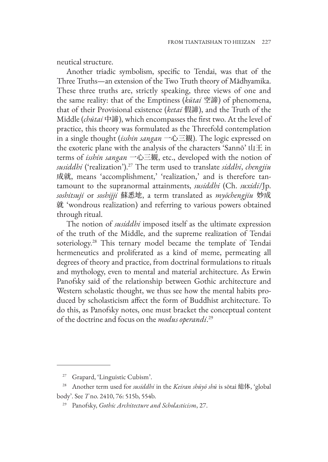neutical structure.

Another triadic symbolism, specific to Tendai, was that of the Three Truths—an extension of the Two Truth theory of Mādhyamika. These three truths are, strictly speaking, three views of one and the same reality: that of the Emptiness (*kūtai* 空諦) of phenomena, that of their Provisional existence (*ketai* 假諦), and the Truth of the Middle (*chūtai* 中諦), which encompasses the first two. At the level of practice, this theory was formulated as the Threefold contemplation in a single thought (*isshin sangan* 一心三観). The logic expressed on the exoteric plane with the analysis of the characters 'Sannō' 山王 in terms of *isshin sangan* 一心三観, etc., developed with the notion of *susiddhi* ('realization').27 The term used to translate *siddhi*, *chengjiu* 成就, means 'accomplishment,' 'realization,' and is therefore tantamount to the supranormal attainments, *susiddhi* (Ch. *suxidi*/Jp. *soshitsuji* or *soshijji* 蘇悉地, a term translated as *myōchengjiu* 妙成 就 'wondrous realization) and referring to various powers obtained through ritual.

The notion of *susiddhi* imposed itself as the ultimate expression of the truth of the Middle, and the supreme realization of Tendai soteriology.28 This ternary model became the template of Tendai hermeneutics and proliferated as a kind of meme, permeating all degrees of theory and practice, from doctrinal formulations to rituals and mythology, even to mental and material architecture. As Erwin Panofsky said of the relationship between Gothic architecture and Western scholastic thought, we thus see how the mental habits produced by scholasticism affect the form of Buddhist architecture. To do this, as Panofsky notes, one must bracket the conceptual content of the doctrine and focus on the *modus operandi*. 29

<sup>27</sup> Grapard, 'Linguistic Cubism'.

<sup>28</sup> Another term used for *susiddhi* in the *Keiran shūyō shū* is sōtai 総体, 'global body'. See *T* no. 2410, 76: 515b, 554b.

<sup>29</sup> Panofsky, *Gothic Architecture and Scholasticism*, 27.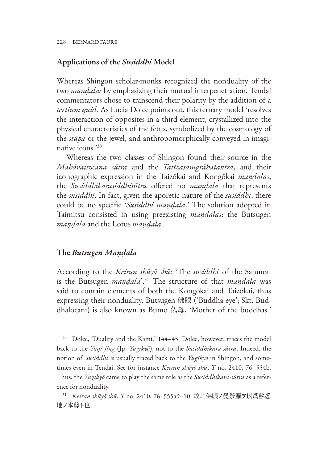## **Applications of the** *Susiddhi* **Model**

Whereas Shingon scholar-monks recognized the nonduality of the two *maṇḍalas* by emphasizing their mutual interpenetration, Tendai commentators chose to transcend their polarity by the addition of a *tertium quid*. As Lucia Dolce points out, this ternary model 'resolves the interaction of opposites in a third element, crystallized into the physical characteristics of the fetus, symbolized by the cosmology of the *stūpa* or the jewel, and anthropomorphically conveyed in imaginative icons.'30

Whereas the two classes of Shingon found their source in the *Mahāvairocana sūtra* and the *Tattvasamgrāhatantra*, and their iconographic expression in the Taizōkai and Kongōkai *maṇḍalas*, the *Susiddhikarasiddhisūtra* offered no *maṇḍala* that represents the *susiddhi*. In fact, given the aporetic nature of the *susiddhi*, there could be no specific '*Susiddhi maṇḍala*.' The solution adopted in Taimitsu consisted in using preexisting *maṇḍalas*: the Butsugen *maṇḍala* and the Lotus *maṇḍala*.

## **The** *Butsugen Maṇḍala*

According to the *Keiran shūyō shū*: 'The *susiddhi* of the Sanmon is the Butsugen *maṇḍala*'.31 The structure of that *maṇḍala* was said to contain elements of both the Kongōkai and Taizōkai, thus expressing their nonduality. Butsugen 佛眼 ('Buddha-eye'; Skt. Buddhalocanī) is also known as Bumo 仏母, 'Mother of the buddhas.'

<sup>&</sup>lt;sup>30</sup> Dolce, 'Duality and the Kami,' 144–45. Dolce, however, traces the model back to the *Yuqi jing* (Jp. *Yugikyō*), not to the *Susiddhikara-sūtra*. Indeed, the notion of *susiddhi* is usually traced back to the *Yugikyō* in Shingon, and sometimes even in Tendai. See for instance *Keiran shūyō shū*, *T* no. 2410, 76: 554b. Thus, the *Yugikyō* came to play the same role as the *Susiddhikara-sūtra* as a reference for nonduality.

<sup>31</sup> *Keiran shūyō shū*, *T* no. 2410, 76: 555a9–10: 故ニ佛眼ノ曼荼羅ヲ以爲蘇悉 地ノ本尊ト也.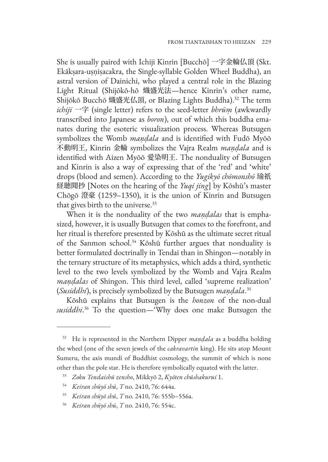She is usually paired with Ichiji Kinrin [Bucchō] 一字金輪仏頂 (Skt. Ekākṣara-uṣṇiṣacakra, the Single-syllable Golden Wheel Buddha), an astral version of Dainichi, who played a central role in the Blazing Light Ritual (Shijōkō-hō 熾盛光法—hence Kinrin's other name, Shijōkō Bucchō 熾盛光仏頂, or Blazing Lights Buddha).32 The term *ichiji* 一字 (single letter) refers to the seed-letter *bhrūṃ* (awkwardly transcribed into Japanese as *boron*), out of which this buddha emanates during the esoteric visualization process. Whereas Butsugen symbolizes the Womb *maṇḍala* and is identified with Fudō Myōō 不動明王, Kinrin 金輪 symbolizes the Vajra Realm *maṇḍala* and is identified with Aizen Myōō 愛染明王. The nonduality of Butsugen and Kinrin is also a way of expressing that of the 'red' and 'white' drops (blood and semen). According to the *Yugikyō chōmonshō* 瑜祇 経聴聞抄 [Notes on the hearing of the *Yuqi jing*] by Kōshū's master Chōgō 澄豪 (1259–1350), it is the union of Kinrin and Butsugen that gives birth to the universe.<sup>33</sup>

When it is the nonduality of the two *maṇḍalas* that is emphasized, however, it is usually Butsugen that comes to the forefront, and her ritual is therefore presented by Kōshū as the ultimate secret ritual of the Sanmon school.<sup>34</sup> Kōshū further argues that nonduality is better formulated doctrinally in Tendai than in Shingon—notably in the ternary structure of its metaphysics, which adds a third, synthetic level to the two levels symbolized by the Womb and Vajra Realm *maṇḍalas* of Shingon. This third level, called 'supreme realization' (*Susiddhi*), is precisely symbolized by the Butsugen *maṇḍala*. 35

Kōshū explains that Butsugen is the *honzon* of the non-dual *susiddhi*. 36 To the question—'Why does one make Butsugen the

- <sup>35</sup> *Keiran shūyō shū*, *T* no. 2410, 76: 555b–556a.
- <sup>36</sup> *Keiran shūyō shū*, *T* no. 2410, 76: 554c.

<sup>32</sup> He is represented in the Northern Dipper *maṇḍala* as a buddha holding the wheel (one of the seven jewels of the *cakravartin* king). He sits atop Mount Sumeru, the axis mundi of Buddhist cosmology, the summit of which is none other than the pole star. He is therefore symbolically equated with the latter.

<sup>33</sup> *Zoku Tendaishū zensho*, Mikkyō 2, *Kyōten chūshakurui* 1.

<sup>34</sup> *Keiran shūyō shū*, *T* no. 2410, 76: 644a.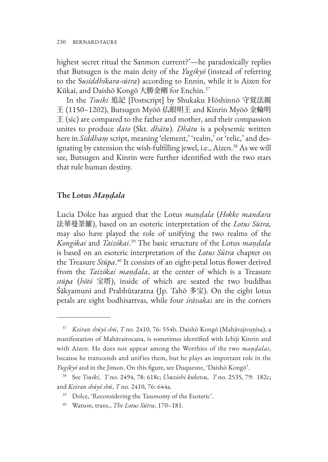highest secret ritual the Sanmon current?'—he paradoxically replies that Butsugen is the main deity of the *Yugikyō* (instead of referring to the S*usiddhikara-sūtra*) according to Ennin, while it is Aizen for Kūkai, and Daishō Kongō 大勝金剛 for Enchin.37

In the *Tsuiki* 追記 [Postscript] by Shukaku Hōshinnō 守覚法親 王 (1150–1202), Butsugen Myōō 仏眼明王 and Kinrin Myōō 金輪明 王 (sic) are compared to the father and mother, and their compassion unites to produce *dato* (Skt. *dhātu*). *Dhātu* is a polysemic written here in *Siddham* script, meaning 'element,' 'realm,' or 'relic,' and designating by extension the wish-fulfilling jewel, i.e., Aizen.<sup>38</sup> As we will see, Butsugen and Kinrin were further identified with the two stars that rule human destiny.

## **The Lotus** *Maṇḍala*

Lucia Dolce has argued that the Lotus *maṇḍala* (*Hokke mandara*  法華曼荼羅), based on an esoteric interpretation of the *Lotus Sūtra,* may also have played the role of unifying the two realms of the *Kongōkai* and *Taizōkai*. 39 The basic structure of the Lotus *maṇḍala* is based on an esoteric interpretation of the *Lotus Sūtra* chapter on the Treasure *Stūpa*. <sup>40</sup> It consists of an eight-petal lotus flower derived from the *Taizōkai maṇḍala*, at the center of which is a Treasure *stūpa* (*hōtō* 宝塔), inside of which are seated the two buddhas Śākyamuni and Prabhūtaratna (Jp. Tahō 多宝). On the eight lotus petals are eight bodhisattvas, while four *śrāvakas* are in the corners

<sup>37</sup> *Keiran shūyō shū*, *T* no. 2410, 76: 554b. Daishō Kongō (Mahāvajroṣṇīsa), a manifestation of Mahāvairocana, is sometimes identified with Ichiji Kinrin and with Aizen. He does not appear among the Worthies of the two *maṇḍalas*, because he transcends and unifies them, but he plays an important role in the *Yugikyō* and in the Jimon. On this figure, see Duquesne, 'Daishō Kongō'.

<sup>38</sup> See *Tsuiki*, *T* no. 2494, 78: 618c; *Usuzōshi kuketsu*, *T* no. 2535, 79: 182c; and *Keiran shūyō shū*, *T* no. 2410, 76: 644a.

<sup>39</sup> Dolce, 'Reconsidering the Taxonomy of the Esoteric'.

<sup>40</sup> Watson, trans., *The Lotus Sūtra*, 170–181.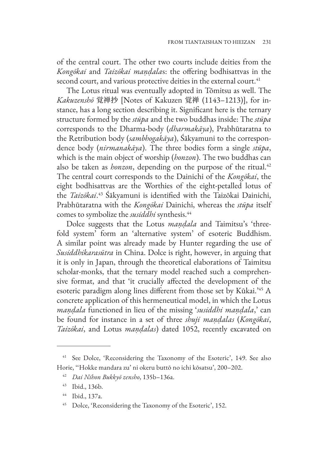of the central court. The other two courts include deities from the *Kongōkai* and *Taizōkai maṇḍala*s: the offering bodhisattvas in the second court, and various protective deities in the external court.<sup>41</sup>

The Lotus ritual was eventually adopted in Tōmitsu as well. The *Kakuzenshō* 覚禅抄 [Notes of Kakuzen 覚禅 (1143–1213)], for instance, has a long section describing it. Significant here is the ternary structure formed by the *stūpa* and the two buddhas inside: The *stūpa* corresponds to the Dharma-body (*dharmakāya*), Prabhūtaratna to the Retribution body (*sambhogakāya*), Śākyamuni to the correspondence body (*nirmanakāya*). The three bodies form a single *stūpa*, which is the main object of worship (*honzon*). The two buddhas can also be taken as *honzon*, depending on the purpose of the ritual.<sup>42</sup> The central court corresponds to the Dainichi of the *Kongōkai*, the eight bodhisattvas are the Worthies of the eight-petalled lotus of the *Taizōkai*. <sup>43</sup> Śākyamuni is identified with the Taizōkai Dainichi, Prabhūtaratna with the *Kongōkai* Dainichi, whereas the *stūpa* itself comes to symbolize the *susiddhi* synthesis.44

Dolce suggests that the Lotus *maṇḍala* and Taimitsu's 'threefold system' form an 'alternative system' of esoteric Buddhism. A similar point was already made by Hunter regarding the use of *Susiddhikarasūtra* in China. Dolce is right, however, in arguing that it is only in Japan, through the theoretical elaborations of Taimitsu scholar-monks, that the ternary model reached such a comprehensive format, and that 'it crucially affected the development of the esoteric paradigm along lines different from those set by Kūkai.'45 A concrete application of this hermeneutical model, in which the Lotus *maṇḍala* functioned in lieu of the missing '*susiddhi maṇḍala*,' can be found for instance in a set of three *shuji maṇḍalas* (*Kongōkai*, *Taizōkai*, and Lotus *maṇḍalas*) dated 1052, recently excavated on

<sup>&</sup>lt;sup>41</sup> See Dolce, 'Reconsidering the Taxonomy of the Esoteric', 149. See also Horie, ''Hokke mandara zu' ni okeru buttō no ichi kōsatsu', 200–202.

<sup>42</sup> *Dai Nihon Bukkyō zensho*, 135b–136a.

<sup>43</sup> Ibid., 136b.

<sup>44</sup> Ibid., 137a.

<sup>&</sup>lt;sup>45</sup> Dolce, 'Reconsidering the Taxonomy of the Esoteric', 152.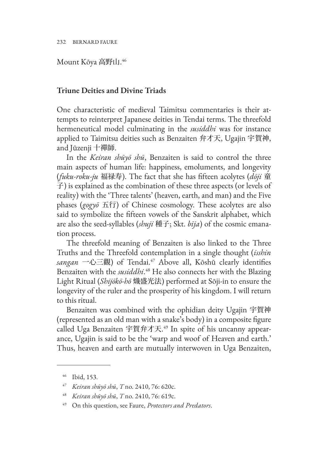232 BERNARD FAURE

Mount Kōya 高野山. 46

# **Triune Deities and Divine Triads**

One characteristic of medieval Taimitsu commentaries is their attempts to reinterpret Japanese deities in Tendai terms. The threefold hermeneutical model culminating in the *susiddhi* was for instance applied to Taimitsu deities such as Benzaiten 弁才天, Ugajin 宇賀神, and Jūzenji 十禪師.

In the *Keiran shūyō shū*, Benzaiten is said to control the three main aspects of human life: happiness, emoluments, and longevity (*fuku-roku-ju* 福禄寿). The fact that she has fifteen acolytes (*dōji* 童 子) is explained as the combination of these three aspects (or levels of reality) with the 'Three talents' (heaven, earth, and man) and the Five phases (*gogyō* 五行) of Chinese cosmology. These acolytes are also said to symbolize the fifteen vowels of the Sanskrit alphabet, which are also the seed-syllables (*shuji* 種子; Skt. *bīja*) of the cosmic emanation process.

The threefold meaning of Benzaiten is also linked to the Three Truths and the Threefold contemplation in a single thought (*isshin sangan* 一心三觀) of Tendai.47 Above all, Kōshū clearly identifies Benzaiten with the *susiddhi*. 48 He also connects her with the Blazing Light Ritual (*Shijōkō-hō* 熾盛光法) performed at Sōji-in to ensure the longevity of the ruler and the prosperity of his kingdom. I will return to this ritual.

Benzaiten was combined with the ophidian deity Ugajin 宇賀神 (represented as an old man with a snake's body) in a composite figure called Uga Benzaiten 宇賀弁才天. 49 In spite of his uncanny appearance, Ugajin is said to be the 'warp and woof of Heaven and earth.' Thus, heaven and earth are mutually interwoven in Uga Benzaiten,

<sup>46</sup> Ibid, 153.

<sup>47</sup> *Keiran shūyō shū*, *T* no. 2410, 76: 620c.

<sup>48</sup> *Keiran shūyō shū*, *T* no. 2410, 76: 619c.

<sup>49</sup> On this question, see Faure, *Protectors and Predators*.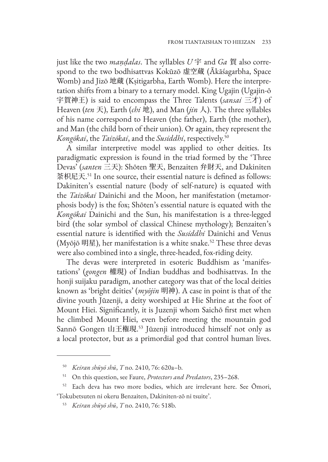just like the two *maṇḍalas*. The syllables *U* 宇 and *Ga* 賀 also correspond to the two bodhisattvas Kokūzō 虚空蔵 (Ākāśagarbha, Space Womb) and Jizō 地蔵 (Kṣitigarbha, Earth Womb). Here the interpretation shifts from a binary to a ternary model. King Ugajin (Ugajin-ō 宇賀神王) is said to encompass the Three Talents (*sansai* 三才) of Heaven (*ten* 天), Earth (*chi* 地), and Man (*jin* 人). The three syllables of his name correspond to Heaven (the father), Earth (the mother), and Man (the child born of their union). Or again, they represent the *Kongōkai*, the *Taizōkai*, and the *Susiddhi*, respectively.50

A similar interpretive model was applied to other deities. Its paradigmatic expression is found in the triad formed by the 'Three Devas' (*santen* 三天): Shōten 聖天, Benzaiten 弁財天, and Dakiniten 荼枳尼天. <sup>51</sup> In one source, their essential nature is defined as follows: Dakiniten's essential nature (body of self-nature) is equated with the *Taizōkai* Dainichi and the Moon, her manifestation (metamorphosis body) is the fox; Shōten's essential nature is equated with the *Kongōkai* Dainichi and the Sun, his manifestation is a three-legged bird (the solar symbol of classical Chinese mythology); Benzaiten's essential nature is identified with the *Susiddhi* Dainichi and Venus (Myōjō 明星), her manifestation is a white snake.<sup>52</sup> These three devas were also combined into a single, three-headed, fox-riding deity.

The devas were interpreted in esoteric Buddhism as 'manifestations' (*gongen* 權現) of Indian buddhas and bodhisattvas. In the honji suijaku paradigm, another category was that of the local deities known as 'bright deities' (*myōjin* 明神). A case in point is that of the divine youth Jūzenji, a deity worshiped at Hie Shrine at the foot of Mount Hiei. Significantly, it is Juzenji whom Saichō first met when he climbed Mount Hiei, even before meeting the mountain god Sannō Gongen 山王権現. <sup>53</sup> Jūzenji introduced himself not only as a local protector, but as a primordial god that control human lives.

<sup>50</sup> *Keiran shūyō shū*, *T* no. 2410, 76: 620a–b.

<sup>51</sup> On this question, see Faure, *Protectors and Predators*, 235–268.

<sup>52</sup> Each deva has two more bodies, which are irrelevant here. See Ōmori, 'Tokubetsuten ni okeru Benzaiten, Dakiniten-zō ni tsuite'.

<sup>53</sup> *Keiran shūyō shū*, *T* no. 2410, 76: 518b.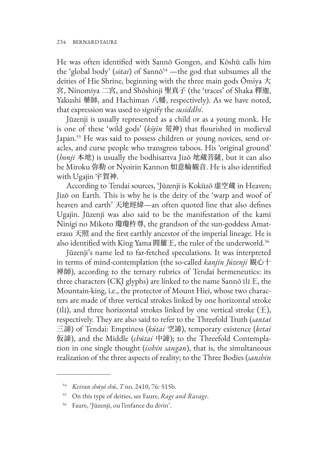He was often identified with Sannō Gongen, and Kōshū calls him the 'global body' (sōtai) of Sannō<sup>54</sup> —the god that subsumes all the deities of Hie Shrine, beginning with the three main gods Ōmiya 大 宮, Ninomiya 二宮, and Shōshinji 聖真子 (the 'traces' of Shaka 釋迦, Yakushi 藥師, and Hachiman 八幡, respectively). As we have noted, that expression was used to signify the *susiddhi*.

Jūzenji is usually represented as a child or as a young monk. He is one of these 'wild gods' (*kōjin* 荒神) that flourished in medieval Japan.<sup>55</sup> He was said to possess children or young novices, send oracles, and curse people who transgress taboos. His 'original ground' (*honji* 本地) is usually the bodhisattva Jizō 地蔵菩薩, but it can also be Miroku 弥勒 or Nyoirin Kannon 如意輪観音. He is also identified with Ugajin 宇賀神.

According to Tendai sources, 'Jūzenji is Kokūzō 虚空蔵 in Heaven; Jizō on Earth. This is why he is the deity of the 'warp and woof of heaven and earth' 天地經緯—an often quoted line that also defines Ugajin. Jūzenji was also said to be the manifestation of the kami Ninigi no Mikoto 瓊瓊杵尊, the grandson of the sun-goddess Amaterasu 天照 and the first earthly ancestor of the imperial lineage. He is also identified with King Yama 閻羅王, the ruler of the underworld.56

Jūzenji's name led to far-fetched speculations. It was interpreted in terms of mind-contemplation (the so-called *kanjin Jūzenji* 観心十 禅師), according to the ternary rubrics of Tendai hermeneutics: its three characters (CKJ glyphs) are linked to the name Sannō  $\Box \pm$ , the Mountain-king, i.e., the protector of Mount Hiei, whose two characters are made of three vertical strokes linked by one horizontal stroke (山), and three horizontal strokes linked by one vertical stroke  $(\pm)$ , respectively. They are also said to refer to the Threefold Truth (*santai* 三諦) of Tendai: Emptiness (*kūtai* 空諦), temporary existence (*ketai* 仮諦), and the Middle (*chūtai* 中諦); to the Threefold Contemplation in one single thought (*isshin sangan*), that is, the simultaneous realization of the three aspects of reality; to the Three Bodies (*sanshin*

<sup>54</sup> *Keiran shūyō shū*, *T* no. 2410, 76: 515b.

<sup>55</sup> On this type of deities, see Faure, *Rage and Ravage*.

<sup>56</sup> Faure, 'Jūzenji, ou l'enfance du divin'.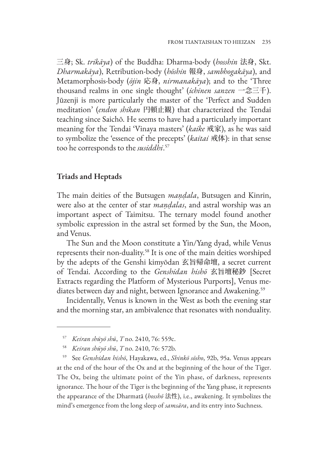三身; Sk. *trikāya*) of the Buddha: Dharma-body (*hosshin* 法身, Skt. *Dharmakāya*), Retribution-body (*hōshin* 報身, *sambhogakāya*), and Metamorphosis-body (*ōjin* 応身, *nirmanakāya*); and to the 'Three thousand realms in one single thought' (*ichinen sanzen* 一念三千). Jūzenji is more particularly the master of the 'Perfect and Sudden meditation' (*endon shikan* 円頓止観) that characterized the Tendai teaching since Saichō. He seems to have had a particularly important meaning for the Tendai 'Vinaya masters' (*kaike* 戒家), as he was said to symbolize the 'essence of the precepts' (*kaitai* 戒体): in that sense too he corresponds to the *susiddhi*. 57

# **Triads and Heptads**

The main deities of the Butsugen *maṇḍala*, Butsugen and Kinrin, were also at the center of star *maṇḍalas*, and astral worship was an important aspect of Taimitsu. The ternary model found another symbolic expression in the astral set formed by the Sun, the Moon, and Venus.

The Sun and the Moon constitute a Yin/Yang dyad, while Venus represents their non-duality.58 It is one of the main deities worshiped by the adepts of the Genshi kimyōdan 玄旨帰命壇, a secret current of Tendai. According to the *Genshidan hishō* 玄旨壇秘鈔 [Secret Extracts regarding the Platform of Mysterious Purports], Venus mediates between day and night, between Ignorance and Awakening.<sup>59</sup>

Incidentally, Venus is known in the West as both the evening star and the morning star, an ambivalence that resonates with nonduality.

<sup>59</sup> See *Genshidan hishō*, Hayakawa, ed., *Shinkō sōsho*, 92b, 95a. Venus appears at the end of the hour of the Ox and at the beginning of the hour of the Tiger. The Ox, being the ultimate point of the Yin phase, of darkness, represents ignorance. The hour of the Tiger is the beginning of the Yang phase, it represents the appearance of the Dharmatā (*hosshō* 法性), i.e., awakening. It symbolizes the mind's emergence from the long sleep of *samsāra*, and its entry into Suchness.

<sup>57</sup> *Keiran shūyō shū*, *T* no. 2410, 76: 559c.

<sup>58</sup> *Keiran shūyō shū*, *T* no. 2410, 76: 572b.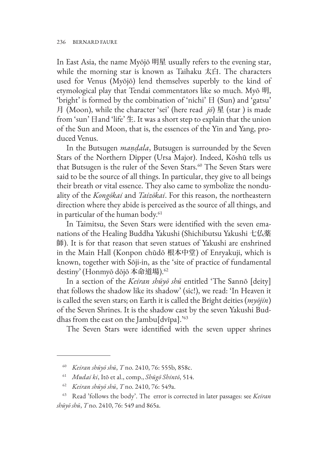In East Asia, the name Myōjō 明星 usually refers to the evening star, while the morning star is known as Taihaku 太白. The characters used for Venus (Myōjō) lend themselves superbly to the kind of etymological play that Tendai commentators like so much. Myō 明, 'bright' is formed by the combination of 'nichi' 日 (Sun) and 'gatsu' 月 (Moon), while the character 'sei' (here read *jō*) 星 (star ) is made from 'sun' 日and 'life' 生. It was a short step to explain that the union of the Sun and Moon, that is, the essences of the Yin and Yang, produced Venus.

In the Butsugen *maṇḍala*, Butsugen is surrounded by the Seven Stars of the Northern Dipper (Ursa Major). Indeed, Kōshū tells us that Butsugen is the ruler of the Seven Stars.<sup>60</sup> The Seven Stars were said to be the source of all things. In particular, they give to all beings their breath or vital essence. They also came to symbolize the nonduality of the *Kongōkai* and *Taizōkai*. For this reason, the northeastern direction where they abide is perceived as the source of all things, and in particular of the human body.<sup>61</sup>

In Taimitsu, the Seven Stars were identified with the seven emanations of the Healing Buddha Yakushi (Shichibutsu Yakushi 七仏薬 師). It is for that reason that seven statues of Yakushi are enshrined in the Main Hall (Konpon chūdō 根本中堂) of Enryakuji, which is known, together with Sōji-in, as the 'site of practice of fundamental destiny' (Honmyō dōjō 本命道場).<sup>62</sup>

In a section of the *Keiran shūyō shū* entitled 'The Sannō [deity] that follows the shadow like its shadow' (sic!), we read: 'In Heaven it is called the seven stars; on Earth it is called the Bright deities (*myōjin*) of the Seven Shrines. It is the shadow cast by the seven Yakushi Buddhas from the east on the Jambu[dvīpa].'<sup>63</sup>

The Seven Stars were identified with the seven upper shrines

- <sup>61</sup> *Mudai ki*, Itō et al., comp., *Shūgō Shintō*, 514.
- <sup>62</sup> *Keiran shūyō shū*, *T* no. 2410, 76: 549a.

<sup>60</sup> *Keiran shūyō shū*, *T* no. 2410, 76: 555b, 858c.

<sup>63</sup> Read 'follows the body'. The error is corrected in later passages: see *Keiran shūyō shū*, *T* no. 2410, 76: 549 and 865a.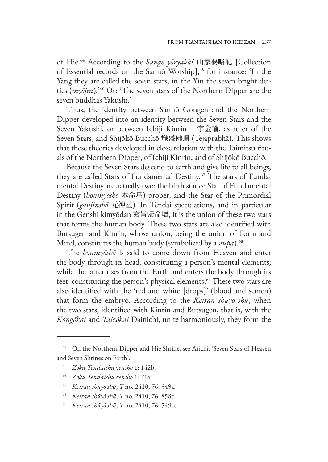of Hie.64 According to the *Sange yōryakki* 山家要略記 [Collection of Essential records on the Sannō Worship],<sup>65</sup> for instance: 'In the Yang they are called the seven stars, in the Yin the seven bright deities (*myōjin*).'66 Or: 'The seven stars of the Northern Dipper are the seven buddhas Yakushi.'

Thus, the identity between Sannō Gongen and the Northern Dipper developed into an identity between the Seven Stars and the Seven Yakushi, or between Ichiji Kinrin 一字金輪, as ruler of the Seven Stars, and Shijōkō Bucchō 熾盛佛頂 (Tejaprabhā). This shows that these theories developed in close relation with the Taimitsu rituals of the Northern Dipper, of Ichiji Kinrin, and of Shijōkō Bucchō.

Because the Seven Stars descend to earth and give life to all beings, they are called Stars of Fundamental Destiny.<sup>67</sup> The stars of Fundamental Destiny are actually two: the birth star or Star of Fundamental Destiny (*honmyoshō* 本命星) proper, and the Star of the Primordial Spirit (*ganjinshō* 元神星). In Tendai speculations, and in particular in the Genshi kimyōdan 玄旨帰命壇, it is the union of these two stars that forms the human body. These two stars are also identified with Butsugen and Kinrin, whose union, being the union of Form and Mind, constitutes the human body (symbolized by a *stūpa*).<sup>68</sup>

The *honmyōshō* is said to come down from Heaven and enter the body through its head, constituting a person's mental elements; while the latter rises from the Earth and enters the body through its feet, constituting the person's physical elements.<sup>69</sup> These two stars are also identified with the 'red and white [drops]' (blood and semen) that form the embryo. According to the *Keiran shūyō shū*, when the two stars, identified with Kinrin and Butsugen, that is, with the *Kongōkai* and *Taizōkai* Dainichi, unite harmoniously, they form the

<sup>&</sup>lt;sup>64</sup> On the Northern Dipper and Hie Shrine, see Arichi, 'Seven Stars of Heaven and Seven Shrines on Earth'.

<sup>65</sup> *Zoku Tendaishū zensho* 1: 142b.

<sup>66</sup> *Zoku Tendaishū zensho* 1: 71a.

<sup>67</sup> *Keiran shūyō shū*, *T* no. 2410, 76: 549a.

<sup>68</sup> *Keiran shūyō shū*, *T* no. 2410, 76: 858c.

<sup>69</sup> *Keiran shūyō shū*, *T* no. 2410, 76: 549b.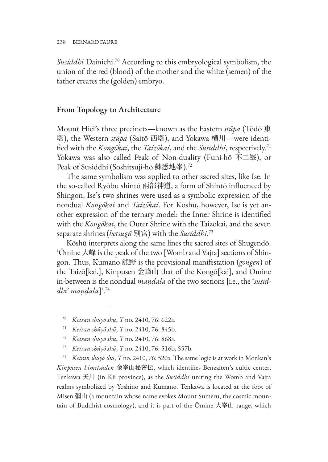*Susiddhi* Dainichi.70 According to this embryological symbolism, the union of the red (blood) of the mother and the white (semen) of the father creates the (golden) embryo.

#### **From Topology to Architecture**

Mount Hiei's three precincts—known as the Eastern *stūpa* (Tōdō 東 塔), the Western *stūpa* (Saitō 西塔), and Yokawa 横川—were identified with the *Kongōkai*, the *Taizōkai*, and the *Susiddhi*, respectively.71 Yokawa was also called Peak of Non-duality (Funi-hō 不二峯), or Peak of Susiddhi (Soshitsuji-hō 蘇悉地峯).72

The same symbolism was applied to other sacred sites, like Ise. In the so-called Ryōbu shintō 兩部神道, a form of Shintō influenced by Shingon, Ise's two shrines were used as a symbolic expression of the nondual *Kongōkai* and *Taizōkai*. For Kōshū, however, Ise is yet another expression of the ternary model: the Inner Shrine is identified with the *Kongōkai*, the Outer Shrine with the Taizōkai, and the seven separate shrines (*betsugū* 別宮) with the *Susiddhi*. 73

Kōshū interprets along the same lines the sacred sites of Shugendō: 'Ōmine 大峰 is the peak of the two [Womb and Vajra] sections of Shingon. Thus, Kumano 熊野 is the provisional manifestation (*gongen*) of the Taizō[kai,], Kinpusen 金峰山 that of the Kongō[kai], and Ōmine in-between is the nondual *maṇḍala* of the two sections [i.e., the '*susiddhi*' *maṇḍala*]'.74

- <sup>71</sup> *Keiran shūyō shū*, *T* no. 2410, 76: 845b.
- <sup>72</sup> *Keiran shūyō shū*, *T* no. 2410, 76: 868a.
- <sup>73</sup> *Keiran shūyō shū*, *T* no. 2410, 76: 516b, 557b.

<sup>74</sup> *Keiran shūyō shū*, *T* no. 2410, 76: 520a. The same logic is at work in Monkan's *Kinpusen himitsuden* 金峯山秘密伝, which identifies Benzaiten's cultic center, Tenkawa 天川 (in Kii province), as the *Susiddhi* uniting the Womb and Vajra realms symbolized by Yoshino and Kumano. Tenkawa is located at the foot of Misen 彌山 (a mountain whose name evokes Mount Sumeru, the cosmic mountain of Buddhist cosmology), and it is part of the Ōmine 大峯山 range, which

<sup>70</sup> *Keiran shūyō shū*, *T* no. 2410, 76: 622a.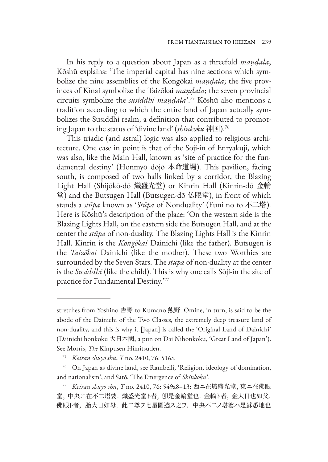In his reply to a question about Japan as a threefold *maṇḍala*, Kōshū explains: 'The imperial capital has nine sections which symbolize the nine assemblies of the Kongōkai *maṇḍala*; the five provinces of Kinai symbolize the Taizōkai *maṇḍala*; the seven provincial circuits symbolize the *susiddhi maṇḍala*'.75 Kōshū also mentions a tradition according to which the entire land of Japan actually symbolizes the Susiddhi realm, a definition that contributed to promoting Japan to the status of 'divine land' (*shinkoku* 神国).76

This triadic (and astral) logic was also applied to religious architecture. One case in point is that of the Sōji-in of Enryakuji, which was also, like the Main Hall, known as 'site of practice for the fundamental destiny' (Honmyō dōjō 本命道場). This pavilion, facing south, is composed of two halls linked by a corridor, the Blazing Light Hall (Shijōkō-dō 熾盛光堂) or Kinrin Hall (Kinrin-dō 金輪 堂) and the Butsugen Hall (Butsugen-dō 仏眼堂), in front of which stands a *stūpa* known as '*Stūpa* of Nonduality' (Funi no tō 不二塔). Here is Kōshū's description of the place: 'On the western side is the Blazing Lights Hall, on the eastern side the Butsugen Hall, and at the center the *stūpa* of non-duality. The Blazing Lights Hall is the Kinrin Hall. Kinrin is the *Kongōkai* Dainichi (like the father). Butsugen is the *Taizōkai* Dainichi (like the mother). These two Worthies are surrounded by the Seven Stars. The *stūpa* of non-duality at the center is the *Susiddhi* (like the child). This is why one calls Sōji-in the site of practice for Fundamental Destiny.'77

stretches from Yoshino 吉野 to Kumano 熊野. Ōmine, in turn, is said to be the abode of the Dainichi of the Two Classes, the extremely deep treasure land of non-duality, and this is why it [Japan] is called the 'Original Land of Dainichi' (Dainichi honkoku 大日本國, a pun on Dai Nihonkoku, 'Great Land of Japan'). See Morris, *The* Kinpusen Himitsuden.

<sup>75</sup> *Keiran shūyō shū*, *T* no. 2410, 76: 516a.

<sup>76</sup> On Japan as divine land, see Rambelli, 'Religion, ideology of domination, and nationalism'; and Satō, 'The Emergence of *Shinkoku*'.

<sup>77</sup> *Keiran shūyō shū*, *T* no. 2410, 76: 549a8–13: 西ニ在熾盛光堂, 東ニ在佛眼 堂, 中央ニ在不二塔婆. 熾盛光堂ト者, 卽是金輪堂也. 金輪ト者, 金大日也如父. 佛眼ト者, 胎大日如母. 此二尊ヲ七星圍遶ス之ヲ. 中央不二ノ塔婆ハ是蘇悉地也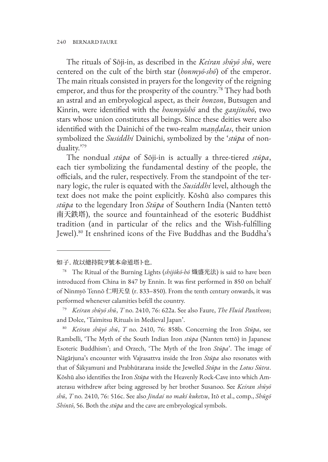The rituals of Sōji-in, as described in the *Keiran shūyō shū*, were centered on the cult of the birth star (*honmyō-shō*) of the emperor. The main rituals consisted in prayers for the longevity of the reigning emperor, and thus for the prosperity of the country.<sup>78</sup> They had both an astral and an embryological aspect, as their *honzon*, Butsugen and Kinrin, were identified with the *honmyōshō* and the *ganjinshō*, two stars whose union constitutes all beings. Since these deities were also identified with the Dainichi of the two-realm *maṇḍalas*, their union symbolized the *Susiddhi* Dainichi, symbolized by the '*stūpa* of nonduality.'79

The nondual *stūpa* of Sōji-in is actually a three-tiered *stūpa*, each tier symbolizing the fundamental destiny of the people, the officials, and the ruler, respectively. From the standpoint of the ternary logic, the ruler is equated with the *Susiddhi* level, although the text does not make the point explicitly. Kōshū also compares this *stūpa* to the legendary Iron *Stūpa* of Southern India (Nanten tettō 南天鉄塔), the source and fountainhead of the esoteric Buddhist tradition (and in particular of the relics and the Wish-fulfilling Jewel).80 It enshrined icons of the Five Buddhas and the Buddha's

<sup>80</sup> *Keiran shūyō shū*, *T* no. 2410, 76: 858b. Concerning the Iron *Stūpa*, see Rambelli, 'The Myth of the South Indian Iron *stūpa* (Nanten tettō) in Japanese Esoteric Buddhism'; and Orzech, 'The Myth of the Iron *Stūpa*'. The image of Nāgārjuna's encounter with Vajrasattva inside the Iron *Stūpa* also resonates with that of Śākyamuni and Prabhūtarana inside the Jewelled *Stūpa* in the *Lotus Sūtra*. Kōshū also identifies the Iron *Stūpa* with the Heavenly Rock-Cave into which Amaterasu withdrew after being aggressed by her brother Susanoo. See *Keiran shūyō shū*, *T* no. 2410, 76: 516c. See also *Jindai no maki kuketsu*, Itō et al., comp., *Shūgō Shintō*, 56. Both the *stūpa* and the cave are embryological symbols.

如子. 故以總持院ヲ號本命道塔ト也.

<sup>78</sup> The Ritual of the Burning Lights (*shijōkō-hō* 熾盛光法) is said to have been introduced from China in 847 by Ennin. It was first performed in 850 on behalf of Ninmyō Tennō 仁明天皇 (r. 833–850). From the tenth century onwards, it was performed whenever calamities befell the country.

<sup>79</sup> *Keiran shūyō shū*, *T* no. 2410, 76: 622a. See also Faure, *The Fluid Pantheon*; and Dolce, 'Taimitsu Rituals in Medieval Japan'.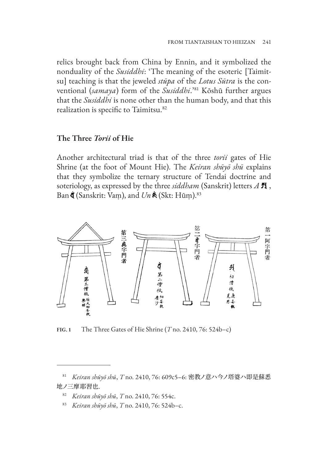relics brought back from China by Ennin, and it symbolized the nonduality of the *Susiddhi*: 'The meaning of the esoteric [Taimitsu] teaching is that the jeweled *stūpa* of the *Lotus Sūtra* is the conventional (*samaya*) form of the *Susiddhi*.'81 Kōshū further argues that the *Susiddhi* is none other than the human body, and that this realization is specific to Taimitsu.<sup>82</sup>

# **The Three** *Torii* **of Hie**

Another architectural triad is that of the three *torii* gates of Hie Shrine (at the foot of Mount Hie). The *Keiran shūyō shū* explains that they symbolize the ternary structure of Tendai doctrine and soteriology, as expressed by the three *siddham* (Sanskrit) letters *A* , Ban **(**Sanskrit: Vam), and  $Un \&$  (Skt: Hūm).<sup>83</sup>



**FIG. 1** The Three Gates of Hie Shrine (*T* no. 2410, 76: 524b–c)

<sup>81</sup> *Keiran shūyō shū*, *T* no. 2410, 76: 609c5–6: 密教ノ意ハ今ノ塔婆ハ即是蘇悉 地ノ三摩耶習也.

<sup>82</sup> *Keiran shūyō shū*, *T* no. 2410, 76: 554c.

<sup>83</sup> *Keiran shūyō shū*, *T* no. 2410, 76: 524b–c.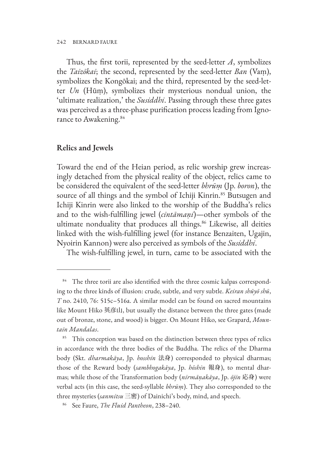Thus, the first torii, represented by the seed-letter *A*, symbolizes the *Taizōkai*; the second, represented by the seed-letter *Ban* (Vaṃ), symbolizes the Kongōkai; and the third, represented by the seed-letter *Un* (Hūṃ), symbolizes their mysterious nondual union, the 'ultimate realization,' the *Susiddhi*. Passing through these three gates was perceived as a three-phase purification process leading from Ignorance to Awakening.<sup>84</sup>

#### **Relics and Jewels**

Toward the end of the Heian period, as relic worship grew increasingly detached from the physical reality of the object, relics came to be considered the equivalent of the seed-letter *bhrūṃ* (Jp. *boron*), the source of all things and the symbol of Ichiji Kinrin.<sup>85</sup> Butsugen and Ichiji Kinrin were also linked to the worship of the Buddha's relics and to the wish-fulfilling jewel (*cintāmaṇi*)—other symbols of the ultimate nonduality that produces all things.<sup>86</sup> Likewise, all deities linked with the wish-fulfilling jewel (for instance Benzaiten, Ugajin, Nyoirin Kannon) were also perceived as symbols of the *Susiddhi*.

The wish-fulfilling jewel, in turn, came to be associated with the

<sup>&</sup>lt;sup>84</sup> The three torii are also identified with the three cosmic kalpas corresponding to the three kinds of illusion: crude, subtle, and very subtle. *Keiran shūyō shū*, *T* no. 2410, 76: 515c–516a. A similar model can be found on sacred mountains like Mount Hiko 英彦山, but usually the distance between the three gates (made out of bronze, stone, and wood) is bigger. On Mount Hiko, see Grapard, *Mountain Mandalas*.

<sup>&</sup>lt;sup>85</sup> This conception was based on the distinction between three types of relics in accordance with the three bodies of the Buddha. The relics of the Dharma body (Skt. *dharmakāya*, Jp. *hosshin* 法身) corresponded to physical dharmas; those of the Reward body (*sambhogakāya*, Jp. *hōshin* 報身), to mental dharmas; while those of the Transformation body (*nirmāṇakāya*, Jp. *ōjin* 応身) were verbal acts (in this case, the seed-syllable *bhrūṃ*). They also corresponded to the three mysteries (*sanmitsu* 三密) of Dainichi's body, mind, and speech.

<sup>86</sup> See Faure, *The Fluid Pantheon*, 238–240.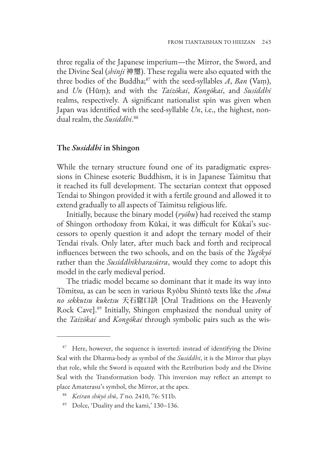three regalia of the Japanese imperium—the Mirror, the Sword, and the Divine Seal (*shinji* 神璽). These regalia were also equated with the three bodies of the Buddha;87 with the seed-syllables *A*, *Ban* (Vaṃ), and *Un* (Hūṃ); and with the *Taizōkai*, *Kongōkai*, and *Susiddhi* realms, respectively. A significant nationalist spin was given when Japan was identified with the seed-syllable *Un*, i.e., the highest, nondual realm, the *Susiddhi*. 88

#### **The** *Susiddhi* **in Shingon**

While the ternary structure found one of its paradigmatic expressions in Chinese esoteric Buddhism, it is in Japanese Taimitsu that it reached its full development. The sectarian context that opposed Tendai to Shingon provided it with a fertile ground and allowed it to extend gradually to all aspects of Taimitsu religious life.

Initially, because the binary model (*ryōbu*) had received the stamp of Shingon orthodoxy from Kūkai, it was difficult for Kūkai's successors to openly question it and adopt the ternary model of their Tendai rivals. Only later, after much back and forth and reciprocal influences between the two schools, and on the basis of the *Yugikyō* rather than the *Susiddhikharasūtra*, would they come to adopt this model in the early medieval period.

The triadic model became so dominant that it made its way into Tōmitsu, as can be seen in various Ryōbu Shintō texts like the *Ama no sekkutsu kuketsu* 天石窟口訣 [Oral Traditions on the Heavenly Rock Cave].89 Initially, Shingon emphasized the nondual unity of the *Taizōkai* and *Kongōkai* through symbolic pairs such as the wis-

<sup>&</sup>lt;sup>87</sup> Here, however, the sequence is inverted: instead of identifying the Divine Seal with the Dharma-body as symbol of the *Susiddhi*, it is the Mirror that plays that role, while the Sword is equated with the Retribution body and the Divine Seal with the Transformation body. This inversion may reflect an attempt to place Amaterasu's symbol, the Mirror, at the apex.

<sup>88</sup> *Keiran shūyō shū*, *T* no. 2410, 76: 511b.

<sup>89</sup> Dolce, 'Duality and the kami,' 130–136.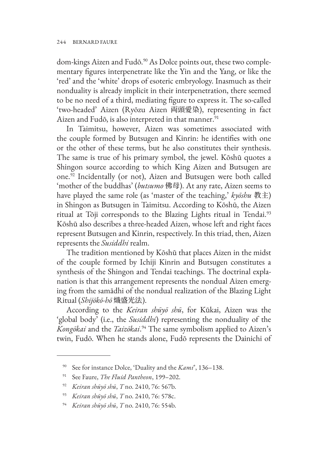dom-kings Aizen and Fudō.<sup>90</sup> As Dolce points out, these two complementary figures interpenetrate like the Yin and the Yang, or like the 'red' and the 'white' drops of esoteric embryology. Inasmuch as their nonduality is already implicit in their interpenetration, there seemed to be no need of a third, mediating figure to express it. The so-called 'two-headed' Aizen (Ryōzu Aizen 両頭愛染), representing in fact Aizen and Fudō, is also interpreted in that manner.<sup>91</sup>

In Taimitsu, however, Aizen was sometimes associated with the couple formed by Butsugen and Kinrin: he identifies with one or the other of these terms, but he also constitutes their synthesis. The same is true of his primary symbol, the jewel. Kōshū quotes a Shingon source according to which King Aizen and Butsugen are one.92 Incidentally (or not), Aizen and Butsugen were both called 'mother of the buddhas' (*butsumo* 佛母). At any rate, Aizen seems to have played the same role (as 'master of the teaching,' *kyōshu* 教主) in Shingon as Butsugen in Taimitsu. According to Kōshū, the Aizen ritual at Tōji corresponds to the Blazing Lights ritual in Tendai.<sup>93</sup> Kōshū also describes a three-headed Aizen, whose left and right faces represent Butsugen and Kinrin, respectively. In this triad, then, Aizen represents the *Susiddhi* realm.

The tradition mentioned by Kōshū that places Aizen in the midst of the couple formed by Ichiji Kinrin and Butsugen constitutes a synthesis of the Shingon and Tendai teachings. The doctrinal explanation is that this arrangement represents the nondual Aizen emerging from the samādhi of the nondual realization of the Blazing Light Ritual (*Shijōkō-hō* 熾盛光法).

According to the *Keiran shūyō shū*, for Kūkai, Aizen was the 'global body' (i.e., the *Susiddhi*) representing the nonduality of the *Kongōkai* and the *Taizōkai*. 94 The same symbolism applied to Aizen's twin, Fudō. When he stands alone, Fudō represents the Dainichi of

<sup>90</sup> See for instance Dolce, 'Duality and the *Kami*', 136–138.

<sup>91</sup> See Faure, *The Fluid Pantheon*, 199–202.

<sup>92</sup> *Keiran shūyō shū*, *T* no. 2410, 76: 567b.

<sup>93</sup> *Keiran shūyō shū*, *T* no. 2410, 76: 578c.

<sup>94</sup> *Keiran shūyō shū*, *T* no. 2410, 76: 554b.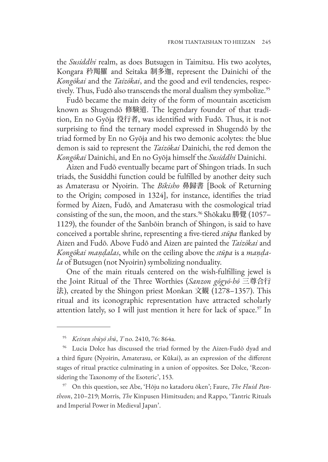the *Susiddhi* realm, as does Butsugen in Taimitsu. His two acolytes, Kongara 矜羯羅 and Seitaka 制多迦, represent the Dainichi of the *Kongōkai* and the *Taizōkai*, and the good and evil tendencies, respectively. Thus, Fudō also transcends the moral dualism they symbolize.<sup>95</sup>

Fudō became the main deity of the form of mountain asceticism known as Shugendō 修験道. The legendary founder of that tradition, En no Gyōja 役行者, was identified with Fudō. Thus, it is not surprising to find the ternary model expressed in Shugendō by the triad formed by En no Gyōja and his two demonic acolytes: the blue demon is said to represent the *Taizōkai* Dainichi, the red demon the *Kongōkai* Dainichi, and En no Gyōja himself the *Susiddhi* Dainichi.

Aizen and Fudō eventually became part of Shingon triads. In such triads, the Susiddhi function could be fulfilled by another deity such as Amaterasu or Nyoirin. The *Bikisho* 鼻歸書 [Book of Returning to the Origin; composed in 1324], for instance, identifies the triad formed by Aizen, Fudō, and Amaterasu with the cosmological triad consisting of the sun, the moon, and the stars.<sup>96</sup> Shōkaku 勝覺 (1057– 1129), the founder of the Sanbōin branch of Shingon, is said to have conceived a portable shrine, representing a five-tiered *stūpa* flanked by Aizen and Fudō. Above Fudō and Aizen are painted the *Taizōkai* and *Kongōkai maṇḍalas*, while on the ceiling above the *stūpa* is a *maṇḍala* of Butsugen (not Nyoirin) symbolizing nonduality.

One of the main rituals centered on the wish-fulfilling jewel is the Joint Ritual of the Three Worthies (*Sanzon gōgyō-hō* 三尊合行 法), created by the Shingon priest Monkan 文観 (1278–1357). This ritual and its iconographic representation have attracted scholarly attention lately, so I will just mention it here for lack of space. $97$  In

<sup>95</sup> *Keiran shūyō shū*, *T* no. 2410, 76: 864a.

<sup>96</sup> Lucia Dolce has discussed the triad formed by the Aizen-Fudō dyad and a third figure (Nyoirin, Amaterasu, or Kūkai), as an expression of the different stages of ritual practice culminating in a union of opposites. See Dolce, 'Reconsidering the Taxonomy of the Esoteric', 153.

<sup>97</sup> On this question, see Abe, 'Hōju no katadoru ōken'; Faure, *The Fluid Pantheon*, 210–219; Morris, *The* Kinpusen Himitsuden; and Rappo, 'Tantric Rituals and Imperial Power in Medieval Japan'.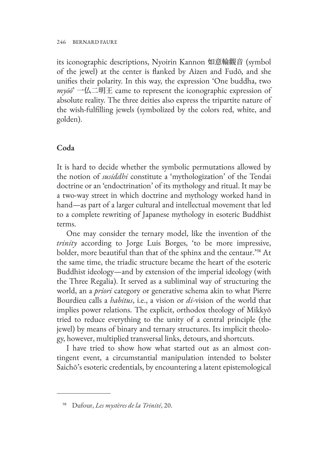its iconographic descriptions, Nyoirin Kannon 如意輪觀音 (symbol of the jewel) at the center is flanked by Aizen and Fudō, and she unifies their polarity. In this way, the expression 'One buddha, two *myōō*' 一仏二明王 came to represent the iconographic expression of absolute reality. The three deities also express the tripartite nature of the wish-fulfilling jewels (symbolized by the colors red, white, and golden).

## **Coda**

It is hard to decide whether the symbolic permutations allowed by the notion of *susiddhi* constitute a 'mythologization' of the Tendai doctrine or an 'endoctrination' of its mythology and ritual. It may be a two-way street in which doctrine and mythology worked hand in hand—as part of a larger cultural and intellectual movement that led to a complete rewriting of Japanese mythology in esoteric Buddhist terms.

One may consider the ternary model, like the invention of the *trinity* according to Jorge Luis Borges, 'to be more impressive, bolder, more beautiful than that of the sphinx and the centaur.'98 At the same time, the triadic structure became the heart of the esoteric Buddhist ideology—and by extension of the imperial ideology (with the Three Regalia). It served as a subliminal way of structuring the world, an a *priori* category or generative schema akin to what Pierre Bourdieu calls a *habitus*, i.e., a vision or *di*-vision of the world that implies power relations. The explicit, orthodox theology of Mikkyō tried to reduce everything to the unity of a central principle (the jewel) by means of binary and ternary structures. Its implicit theology, however, multiplied transversal links, detours, and shortcuts.

I have tried to show how what started out as an almost contingent event, a circumstantial manipulation intended to bolster Saichō's esoteric credentials, by encountering a latent epistemological

<sup>98</sup> Dufour, *Les mystères de la Trinité*, 20.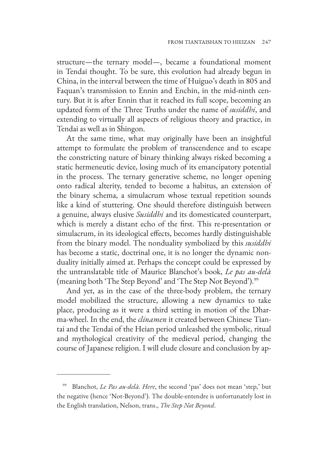structure—the ternary model—, became a foundational moment in Tendai thought. To be sure, this evolution had already begun in China, in the interval between the time of Huiguo's death in 805 and Faquan's transmission to Ennin and Enchin, in the mid-ninth century. But it is after Ennin that it reached its full scope, becoming an updated form of the Three Truths under the name of *susiddhi*, and extending to virtually all aspects of religious theory and practice, in Tendai as well as in Shingon.

At the same time, what may originally have been an insightful attempt to formulate the problem of transcendence and to escape the constricting nature of binary thinking always risked becoming a static hermeneutic device, losing much of its emancipatory potential in the process. The ternary generative scheme, no longer opening onto radical alterity, tended to become a habitus, an extension of the binary schema, a simulacrum whose textual repetition sounds like a kind of stuttering. One should therefore distinguish between a genuine, always elusive *Susiddhi* and its domesticated counterpart, which is merely a distant echo of the first. This re-presentation or simulacrum, in its ideological effects, becomes hardly distinguishable from the binary model. The nonduality symbolized by this *susiddhi* has become a static, doctrinal one, it is no longer the dynamic nonduality initially aimed at. Perhaps the concept could be expressed by the untranslatable title of Maurice Blanchot's book, *Le pas au-delà*  (meaning both 'The Step Beyond' and 'The Step Not Beyond').<sup>99</sup>

And yet, as in the case of the three-body problem, the ternary model mobilized the structure, allowing a new dynamics to take place, producing as it were a third setting in motion of the Dharma-wheel. In the end, the *clinamen* it created between Chinese Tiantai and the Tendai of the Heian period unleashed the symbolic, ritual and mythological creativity of the medieval period, changing the course of Japanese religion. I will elude closure and conclusion by ap-

Blanchot, *Le Pas au-delà. Here*, the second 'pas' does not mean 'step,' but the negative (hence 'Not-Beyond'). The double-entendre is unfortunately lost in the English translation, Nelson, trans., *The Step Not Beyond*.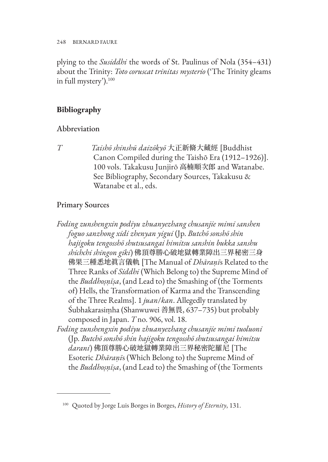248 BERNARD FAURE

plying to the *Susiddhi* the words of St. Paulinus of Nola (354–431) about the Trinity: *Toto coruscat trinitas mysterio* ('The Trinity gleams in full mystery').100

# **Bibliography**

# Abbreviation

*T Taishō shinshū daizōkyō* 大正新脩大藏經 [Buddhist Canon Compiled during the Taishō Era (1912–1926)]. 100 vols. Takakusu Junjirō 高楠順次郎 and Watanabe. See Bibliography, Secondary Sources, Takakusu & Watanabe et al., eds.

# Primary Sources

*Foding zunshengxin podiyu zhuanyezhang chusanjie mimi sanshen foguo sanzhong xidi zhenyan yigui* (Jp. *Butchō sonshō shin hajigoku tengosshō shutsusangai himitsu sanshin bukka sanshu shichchi shingon giki*) 佛頂尊勝心破地獄轉業障出三界秘密三身 佛果三種悉地眞言儀軌 [The Manual of *Dhāraṇī*s Related to the Three Ranks of *Siddhi* (Which Belong to) the Supreme Mind of the *Buddhoṣṇīṣa*, (and Lead to) the Smashing of (the Torments of) Hells, the Transformation of Karma and the Transcending of the Three Realms]. 1 *juan*/*kan*. Allegedly translated by Śubhakarasiṃha (Shanwuwei 善無畏, 637–735) but probably composed in Japan. *T* no. 906, vol. 18.

*Foding zunshengxin podiyu zhuanyezhang chusanjie mimi tuoluoni*  (Jp. *Butchō sonshō shin hajigoku tengosshō shutsusangai himitsu darani*) 佛頂尊勝心破地獄轉業障出三界秘密陀羅尼 [The Esoteric *Dhāraṇī*s (Which Belong to) the Supreme Mind of the *Buddhoṣṇīṣa*, (and Lead to) the Smashing of (the Torments

<sup>100</sup> Quoted by Jorge Luis Borges in Borges, *History of Eternity*, 131.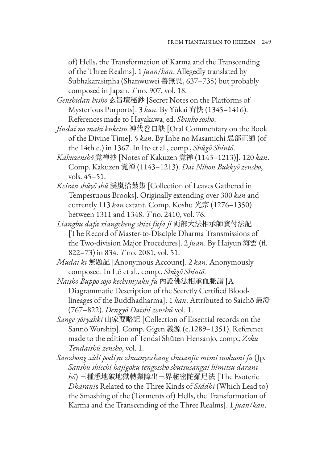of) Hells, the Transformation of Karma and the Transcending of the Three Realms]. 1 *juan*/*kan*. Allegedly translated by Śubhakarasiṃha (Shanwuwei 善無畏, 637–735) but probably composed in Japan. *T* no. 907, vol. 18.

*Genshidan hishō* 玄旨壇秘鈔 [Secret Notes on the Platforms of Mysterious Purports]. 3 *kan*. By Yūkai 宥快 (1345–1416). References made to Hayakawa, ed. *Shinkō sōsho*.

*Jindai no maki kuketsu* 神代巻口訣 [Oral Commentary on the Book of the Divine Time]. 5 *kan*. By Inbe no Masamichi 忌部正通 (of the 14th c.) in 1367. In Itō et al., comp., *Shūgō Shintō*.

- *Kakuzenshō* 覚禅抄 [Notes of Kakuzen 覚禅 (1143–1213)]. 120 *kan*. Comp. Kakuzen 覚禅 (1143–1213). *Dai Nihon Bukkyō zensho*, vols. 45–51.
- *Keiran shūyō shū* 渓嵐拾葉集 [Collection of Leaves Gathered in Tempestuous Brooks]. Originally extending over 300 *kan* and currently 113 *kan* extant. Comp. Kōshū 光宗 (1276–1350) between 1311 and 1348. *T* no. 2410, vol. 76.
- *Liangbu dafa xiangcheng shizi fufa ji* 両部大法相承師資付法記 [The Record of Master-to-Disciple Dharma Transmissions of the Two-division Major Procedures]. 2 *juan*. By Haiyun 海雲 (fl. 822–73) in 834. *T* no. 2081, vol. 51.
- *Mudai ki* 無題記 [Anonymous Account]. 2 *kan*. Anonymously composed. In Itō et al., comp., *Shūgō Shintō*.
- *Naishō Buppō sōjō kechimyaku fu* 內證佛法相承血脈譜 [A Diagrammatic Description of the Secretly Certified Bloodlineages of the Buddhadharma]. 1 *kan*. Attributed to Saichō 最澄 (767–822). *Dengyō Daishi zenshū* vol. 1.
- *Sange yōryakki* 山家要略記 [Collection of Essential records on the Sannō Worship]. Comp. Gigen 義源 (c.1289–1351). Reference made to the edition of Tendai Shūten Hensanjo, comp., *Zoku Tendaishū zensho*, vol. 1.
- *Sanzhong xidi podiyu zhuanyezhang chusanjie mimi tuoluoni fa* (Jp. *Sanshu shicchi hajigoku tengosshō shutsusangai himitsu darani hō*) 三種悉地破地獄轉業障出三界秘密陀羅尼法 [The Esoteric *Dhāraṇī*s Related to the Three Kinds of *Siddhi* (Which Lead to) the Smashing of the (Torments of) Hells, the Transformation of Karma and the Transcending of the Three Realms]. 1 *juan*/*kan*.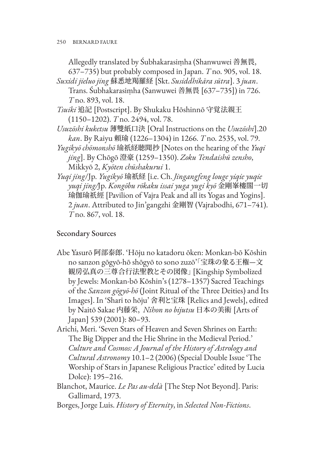Allegedly translated by Śubhakarasiṃha (Shanwuwei 善無畏, 637–735) but probably composed in Japan. *T* no. 905, vol. 18.

- *Suxidi jieluo jing* 蘇悉地羯羅経 [Skt. *Susiddhikāra sūtra*]. 3 *juan*. Trans. Śubhakarasiṃha (Sanwuwei 善無畏 [637–735]) in 726. *T* no. 893, vol. 18.
- *Tsuiki* 追記 [Postscript]. By Shukaku Hōshinnō 守覚法親王 (1150–1202). *T* no. 2494, vol. 78.
- *Usuzōshi kuketsu* 薄雙紙口決 [Oral Instructions on the *Usuzōshi*].20 *kan*. By Raiyu 頼瑜 (1226–1304) in 1266. *T* no. 2535, vol. 79.
- *Yugikyō chōmonshō* 瑜祇経聴聞抄 [Notes on the hearing of the *Yuqi jing*]. By Chōgō 澄豪 (1259–1350). *Zoku Tendaishū zensho*, Mikkyō 2, *Kyōten chūshakurui* 1.
- *Yuqi jing*/Jp. *Yugikyō* 瑜祇経 [i.e. Ch. *Jingangfeng louge yiqie yuqie yuqi jing/*Jp. *Kongōbu rōkaku issai yuga yugi kyō* 金剛峯樓閣一切 瑜伽瑜祇經 [Pavilion of Vajra Peak and all its Yogas and Yogins]. 2 *juan*. Attributed to Jin'gangzhi 金剛智 (Vajrabodhi, 671–741). *T* no. 867, vol. 18.

# Secondary Sources

- Abe Yasurō 阿部泰郎. 'Hōju no katadoru ōken: Monkan-bō Kōshin no sanzon gōgyō-hō shōgyō to sono zuzō'「宝珠の象る王権—文 観房弘真の三尊合行法聖教とその図像」 [Kingship Symbolized by Jewels: Monkan-bō Kōshin's (1278–1357) Sacred Teachings of the *Sanzon gōgyō-hō* (Joint Ritual of the Three Deities) and Its Images]. In 'Shari to hōju' 舍利と宝珠 [Relics and Jewels], edited by Naitō Sakae 内藤栄, *Nihon no bijutsu* 日本の美術 [Arts of Japan] 539 (2001): 80–93.
- Arichi, Meri. 'Seven Stars of Heaven and Seven Shrines on Earth: The Big Dipper and the Hie Shrine in the Medieval Period.' *Culture and Cosmos: A Journal of the History of Astrology and Cultural Astronomy* 10.1–2 (2006) (Special Double Issue 'The Worship of Stars in Japanese Religious Practice' edited by Lucia Dolce): 195–216.
- Blanchot, Maurice. *Le Pas au-delà* [The Step Not Beyond]. Paris: Gallimard, 1973.
- Borges, Jorge Luis. *History of Eternity*, in *Selected Non-Fictions*.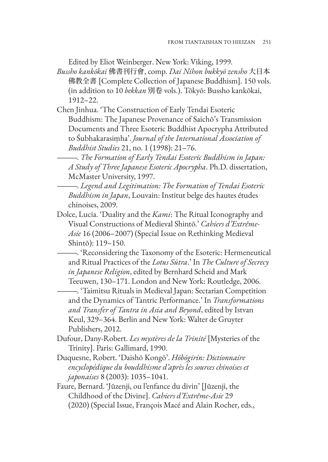Edited by Eliot Weinberger. New York: Viking, 1999.

- *Bussho kankōkai* 佛書刊行會, comp. *Dai Nihon bukkyō zensho* 大日本 佛教全書 [Complete Collection of Japanese Buddhism]. 150 vols. (in addition to 10 *bekkan* 別卷 vols.). Tōkyō: Bussho kankōkai, 1912–22.
- Chen Jinhua. 'The Construction of Early Tendai Esoteric Buddhism: The Japanese Provenance of Saichō's Transmission Documents and Three Esoteric Buddhist Apocrypha Attributed to Śubhakarasiṃha'. *Journal of the International Association of Buddhist Studies* 21, no. 1 (1998): 21–76.

———. *The Formation of Early Tendai Esoteric Buddhism in Japan: A Study of Three Japanese Esoteric Apocrypha*. Ph.D. dissertation, McMaster University, 1997.

- ———. *Legend and Legitimation: The Formation of Tendai Esoteric Buddhism in Japan*, Louvain: Institut belge des hautes études chinoises, 2009.
- Dolce, Lucia. 'Duality and the *Kami*: The Ritual Iconography and Visual Constructions of Medieval Shintō.' *Cahiers d'Extrême-Asie* 16 (2006–2007) (Special Issue on Rethinking Medieval Shintō): 119–150.
	- ———. 'Reconsidering the Taxonomy of the Esoteric: Hermeneutical and Ritual Practices of the *Lotus Sūtra*.' In *The Culture of Secrecy in Japanese Religion*, edited by Bernhard Scheid and Mark Teeuwen, 130–171. London and New York: Routledge, 2006.

———. 'Taimitsu Rituals in Medieval Japan: Sectarian Competition and the Dynamics of Tantric Performance.' In *Transformations and Transfer of Tantra in Asia and Beyond*, edited by Istvan Keul, 329–364. Berlin and New York: Walter de Gruyter Publishers, 2012.

- Dufour, Dany-Robert. *Les mystères de la Trinité* [Mysteries of the Trinity]. Paris: Gallimard, 1990.
- Duquesne, Robert. 'Daishō Kongō'. *Hōbōgirin: Dictionnaire encyclopédique du bouddhisme d'après les sources chinoises et japonaises* 8 (2003): 1035–1041.
- Faure, Bernard. 'Jūzenji, ou l'enfance du divin' [Jūzenji, the Childhood of the Divine]. *Cahiers d'Extrême-Asie* 29 (2020) (Special Issue, François Macé and Alain Rocher, eds.,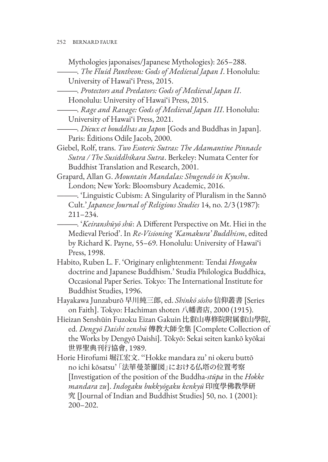Mythologies japonaises/Japanese Mythologies): 265–288.

———. *The Fluid Pantheon: Gods of Medieval Japan I*. Honolulu: University of Hawai'i Press, 2015.

———. *Protectors and Predators: Gods of Medieval Japan II*. Honolulu: University of Hawai'i Press, 2015.

———. *Rage and Ravage: Gods of Medieval Japan III*. Honolulu: University of Hawai'i Press, 2021.

———. *Dieux et bouddhas au Japon* [Gods and Buddhas in Japan]. Paris: Éditions Odile Jacob, 2000.

Giebel, Rolf, trans. *Two Esoteric Sutras: The Adamantine Pinnacle Sutra / The Susiddhikara Sutra*. Berkeley: Numata Center for Buddhist Translation and Research, 2001.

Grapard, Allan G. *Mountain Mandalas: Shugendō in Kyushu*. London; New York: Bloomsbury Academic, 2016.

———. 'Linguistic Cubism: A Singularity of Pluralism in the Sannō Cult.' *Japanese Journal of Religious Studies* 14, no. 2/3 (1987): 211–234.

———. '*Keiranshūyō shū*: A Different Perspective on Mt. Hiei in the Medieval Period'. In *Re-Visioning 'Kamakura' Buddhism*, edited by Richard K. Payne, 55–69. Honolulu: University of Hawai'i Press, 1998.

Habito, Ruben L. F. 'Originary enlightenment: Tendai *Hongaku* doctrine and Japanese Buddhism.' Studia Philologica Buddhica, Occasional Paper Series. Tokyo: The International Institute for Buddhist Studies, 1996.

Hayakawa Junzaburō 早川純三郎, ed. *Shinkō sōsho* 信仰叢書 [Series on Faith]. Tokyo: Hachiman shoten 八幡書店, 2000 (1915).

Hieizan Senshūin Fuzoku Eizan Gakuin 比叡山專修院附属叡山學院, ed. *Dengyō Daishi zenshū* 傳教大師全集 [Complete Collection of the Works by Dengyō Daishi]. Tōkyō: Sekai seiten kankō kyōkai 世界聖典刊行協會, 1989.

Horie Hirofumi 堀江宏文. ''Hokke mandara zu' ni okeru buttō no ichi kōsatsu' 「法華曼荼羅図」における仏塔の位置考察 [Investigation of the position of the Buddha-*stūpa* in the *Hokke mandara zu*]. *Indogaku bukkyōgaku kenkyū* 印度學佛教學研 究 [Journal of Indian and Buddhist Studies] 50, no. 1 (2001): 200–202.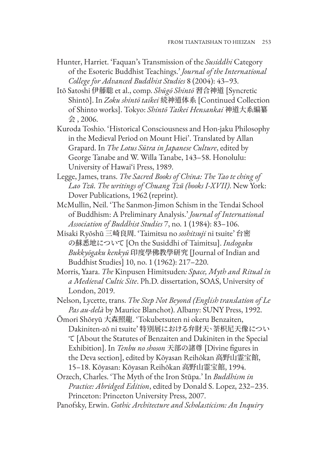- Hunter, Harriet. 'Faquan's Transmission of the *Susiddhi* Category of the Esoteric Buddhist Teachings.' *Journal of the International College for Advanced Buddhist Studies* 8 (2004): 43–93.
- Itō Satoshi 伊藤聡 et al., comp. *Shūgō Shintō* 習合神道 [Syncretic Shintō]. In *Zoku shintō taikei* 続神道体系 [Continued Collection of Shinto works]. Tokyo: *Shintō Taikei Hensankai* 神道大系編纂 会 , 2006.
- Kuroda Toshio. 'Historical Consciousness and Hon-jaku Philosophy in the Medieval Period on Mount Hiei'. Translated by Allan Grapard. In *The Lotus Sūtra in Japanese Culture*, edited by George Tanabe and W. Willa Tanabe, 143–58. Honolulu: University of Hawai'i Press, 1989.
- Legge, James, trans. *The Sacred Books of China: The Tao te ching of Lao Tzŭ. The writings of Chuang Tzŭ (books I-XVII)*. New York: Dover Publications, 1962 (reprint).
- McMullin, Neil. 'The Sanmon-Jimon Schism in the Tendai School of Buddhism: A Preliminary Analysis.' *Journal of International Association of Buddhist Studies* 7, no. 1 (1984): 83–106.
- Misaki Ryōshū 三崎良周. 'Taimitsu no *soshitsuji* ni tsuite' 台密 の蘇悉地について [On the Susiddhi of Taimitsu]. *Indogaku Bukkyōgaku kenkyū* 印度學佛教學研究 [Journal of Indian and Buddhist Studies] 10, no. 1 (1962): 217–220.
- Morris, Yaara. *The* Kinpusen Himitsuden*: Space, Myth and Ritual in a Medieval Cultic Site*. Ph.D. dissertation, SOAS, University of London, 2019.
- Nelson, Lycette, trans. *The Step Not Beyond (English translation of Le Pas au-delà* by Maurice Blanchot). Albany: SUNY Press, 1992.
- Ōmori Shōryū 大森照龍. 'Tokubetsuten ni okeru Benzaiten, Dakiniten-zō ni tsuite' 特別展における弁財天、荼枳尼天像につい て [About the Statutes of Benzaiten and Dakiniten in the Special Exhibition]. In *Tenbu no shoson* 天部の諸尊 [Divine figures in the Deva section], edited by Kōyasan Reihōkan 高野山霊宝館, 15–18. Kōyasan: Kōyasan Reihōkan 高野山霊宝館, 1994.
- Orzech, Charles. 'The Myth of the Iron Stūpa.' In *Buddhism in Practice: Abridged Edition*, edited by Donald S. Lopez, 232–235. Princeton: Princeton University Press, 2007.
- Panofsky, Erwin. *Gothic Architecture and Scholasticism: An Inquiry*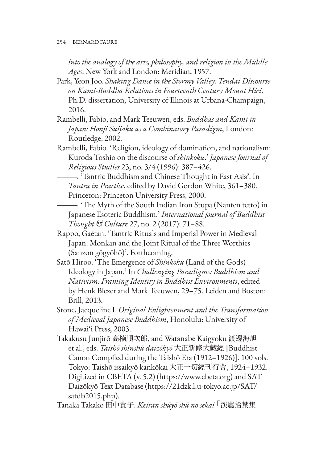*into the analogy of the arts, philosophy, and religion in the Middle Ages*. New York and London: Meridian, 1957.

- Park, Yeon Joo. *Shaking Dance in the Stormy Valley: Tendai Discourse on Kami-Buddha Relations in Fourteenth Century Mount Hiei*. Ph.D. dissertation, University of Illinois at Urbana-Champaign, 2016.
- Rambelli, Fabio, and Mark Teeuwen, eds. *Buddhas and Kami in Japan: Honji Suijaku as a Combinatory Paradigm*, London: Routledge, 2002.
- Rambelli, Fabio. 'Religion, ideology of domination, and nationalism: Kuroda Toshio on the discourse of *shinkoku*.' *Japanese Journal of Religious Studies* 23, no. 3/4 (1996): 387–426.
	- ———. 'Tantric Buddhism and Chinese Thought in East Asia'. In *Tantra in Practice*, edited by David Gordon White, 361–380. Princeton: Princeton University Press, 2000.
	- ———. 'The Myth of the South Indian Iron Stupa (Nanten tettō) in Japanese Esoteric Buddhism.' *International journal of Buddhist Thought & Culture* 27, no. 2 (2017): 71–88.
- Rappo, Gaétan. 'Tantric Rituals and Imperial Power in Medieval Japan: Monkan and the Joint Ritual of the Three Worthies (Sanzon gōgyōhō)'. Forthcoming.
- Satō Hiroo. 'The Emergence of *Shinkoku* (Land of the Gods) Ideology in Japan.' In *Challenging Paradigms: Buddhism and Nativism: Framing Identity in Buddhist Environments*, edited by Henk Blezer and Mark Teeuwen, 29–75. Leiden and Boston: Brill, 2013.
- Stone, Jacqueline I. *Original Enlightenment and the Transformation of Medieval Japanese Buddhism*, Honolulu: University of Hawai'i Press, 2003.
- Takakusu Junjirō 高楠順次郎, and Watanabe Kaigyoku 渡邊海旭 et al., eds. *Taishō shinshū daizōkyō* 大正新修大藏經 [Buddhist Canon Compiled during the Taishō Era (1912–1926)]. 100 vols. Tokyo: Taishō issaikyō kankōkai 大正一切經刊行會, 1924–1932. Digitized in CBETA (v. 5.2) (https://www.cbeta.org) and SAT Daizōkyō Text Database (https://21dzk.l.u-tokyo.ac.jp/SAT/ satdb2015.php).

Tanaka Takako 田中貴子. *Keiran shūyō shū no sekai* 「渓嵐拾葉集」